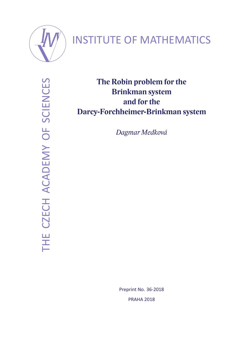

# INSTITUTE OF MATHEMATICS

THE CZECH ACADEMY OF SCIENCES THE CZECH ACADEMY OF SCIENCES

**The Robin problem for the Brinkman system and for the Darcy-Forchheimer-Brinkman system**

*Dagmar Medková*

Preprint No. 36-2018 PRAHA 2018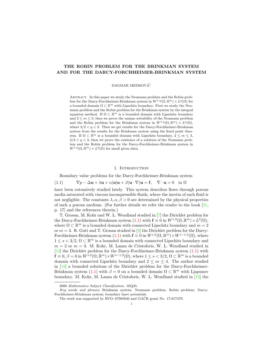## THE ROBIN PROBLEM FOR THE BRINKMAN SYSTEM AND FOR THE DARCY-FORCHHEIMER-BRINKMAN SYSTEM

DAGMAR MEDKOVÁ<sup>†</sup>

Abstract. In this paper we study the Neumann problem and the Robin problem for the Darcy-Forchheimer-Brinkman system in  $W^{1,q}(\Omega,\mathbb{R}^m) \times L^q(\Omega)$  for a bounded domain  $\Omega \subset \mathbb{R}^m$  with Lipschitz boundary. First we study the Neumann problem and the Robin problem for the Brinkman system by the integral equation method. If  $\Omega \subset \mathbb{R}^m$  is a bounded domain with Lipschitz boundary and  $2 \leq m \leq 3$ , then we prove the unique solvability of the Neumann problem and the Robin problem for the Brinkman system in  $W^{1,q}(\Omega,\mathbb{R}^m) \times L^q(\Omega)$ , where  $3/2 < q < 3$ . Then we get results for the Darcy-Forchheimer-Brinkman system from the results for the Brinkman system using the fixed point theorem. If  $\Omega \subset \mathbb{R}^m$  is a bounded domain with Lipschitz boundary,  $2 \leq m \leq 3$ ,  $3/2 < q < 3$ , then we prove the existence of a solution of the Neumann problem and the Robin problem for the Darcy-Forchheimer-Brinkman system in  $W^{1,q}(\Omega, \mathbb{R}^m) \times L^q(\Omega)$  for small given data.

## 1. INTRODUCTION

Boundary value problems for the Darcy-Forchheimer-Brinkman system

(1.1)  $\nabla p - \Delta \mathbf{u} + \lambda \mathbf{u} + \alpha |\mathbf{u}| \mathbf{u} + \beta (\mathbf{u} \cdot \nabla) \mathbf{u} = \mathbf{f}, \quad \nabla \cdot \mathbf{u} = 0 \quad \text{in } \Omega$ 

have been extensively studied lately. This system describes flows through porous media saturated with viscous incompressible fluids, where the inertia of such fluid is not negligible. The constants  $\lambda, \alpha, \beta > 0$  are determined by the physical properties of such a porous medium. (For further details we refer the reader to the book  $[21,$ p. 17] and the references therein.)

T. Grosan, M. Kohr and W. L. Wendland studied in [7] the Dirichlet problem for the Darcy-Forchheimer-Brinkman system (1.1) with  $\mathbf{f} \equiv 0$  in  $W^{1,2}(\Omega,\mathbb{R}^m) \times L^2(\Omega)$ , where  $\Omega \subset \mathbb{R}^m$  is a bounded domain with connected Lipschitz boundary and  $m = 2$ or  $m = 3$ . R. Gutt and T. Grosan studied in [8] the Dirichlet problem for the Darcy-Forchheimer-Brinkman system (1.1) with  $\mathbf{f} \equiv 0$  in  $W^{s,2}(\Omega,\mathbb{R}^m) \times W^{s-1,2}(\Omega)$ , where  $1 \leq s < 3/2$ ,  $\Omega \subset \mathbb{R}^m$  is a bounded domain with connected Lipschitz boundary and  $m = 2$  or  $m = 3$ . M. Kohr, M. Lanza de Cristoforis, W. L. Wendland studied in [13] the Dirichlet problem for the Darcy-Forchheimer-Brinkman system (1.1) with  $\mathbf{f} \equiv 0, \beta = 0$  in  $W^{s,2}(\Omega, \mathbb{R}^m) \times W^{s-1,2}(\Omega)$ , where  $1 \leq s < 3/2, \Omega \subset \mathbb{R}^m$  is a bounded domain with connected Lipschitz boundary and  $2 \leq m \leq 4$ . The author studied in [18] a bounded solutions of the Dirichlet problem for the Darcy-Forchheimer-Brinkman system (1.1) with  $\beta = 0$  on a bounded domain  $\Omega \subset \mathbb{R}^m$  with Ljapunov boundary. M. Kohr, M. Lanza de Cristoforis, W. L. Wendland studied in [12] the

<sup>2000</sup> Mathematics Subject Classification. 35Q35.

Key words and phrases. Brinkman system; Neumann problem; Robin problem; Darcy-Forchheimer-Brinkman system; boundary layer potentials.

The work was supported by RVO:  $67985840$  and  $GACR$  grant No. 17-01747S.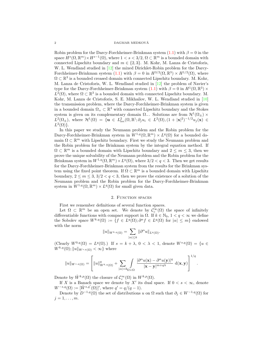#### $$\rm \,DAGMAR$  MEDKOVÁ

Robin problem for the Darcy-Forchheimer-Brinkman system  $(1.1)$  with  $\beta = 0$  in the space  $H^s(\Omega, \mathbb{R}^m) \times H^{s-1}(\Omega)$ , where  $1 < s < 3/2$ ,  $\Omega \subset \mathbb{R}^m$  is a bounded domain with connected Lipschitz boundary and  $m \in \{2,3\}$ . M. Kohr, M. Lanza de Cristoforis, W. L. Wendland studied in [12] the mixed Dirichlet-Robin problem for the Darcy-Forchheimer-Brinkman system (1.1) with  $\beta = 0$  in  $H^{3/2}(\Omega, \mathbb{R}^3) \times H^{1/2}(\Omega)$ , where  $\Omega \subset \mathbb{R}^3$  is a bounded creased domain with connected Lipschitz boundary. M. Kohr, M. Lanza de Cristoforis, W. L. Wendland studied in [12] the problem of Navier's type for the Darcy-Forchheimer-Brinkman system  $(1.1)$  with  $\beta = 0$  in  $H^1(\Omega, \mathbb{R}^3) \times$  $L^2(\Omega)$ , where  $\Omega \subset \mathbb{R}^3$  is a bounded domain with connected Lipschitz boundary. M. Kohr, M. Lanza de Cristoforis, S. E. Mikhailov, W. L. Wendland studied in [10] the transmission problem, where the Darcy-Forchheimer-Brinkman system is given in a bounded domain  $\Omega_+ \subset \mathbb{R}^3$  with connected Lipschitz boundary and the Stokes system is given on its complementary domain  $\Omega_{-}$ . Solutions are from  $\mathcal{H}^1(\Omega_{\pm}) \times$  $L^2(\Omega_{\pm}),$  where  $\mathcal{H}^1(\Omega) = \{ \mathbf{u} \in L^2_{\text{loc}}(\Omega,\mathbb{R}); \partial_j u_i \in L^2(\Omega), (1+|\mathbf{x}|^2)^{-1/2} u_j(\mathbf{x}) \in$  $L^2(\Omega)$ .

In this paper we study the Neumann problem and the Robin problem for the Darcy-Forchheimer-Brinkman system in  $W^{1,q}(\Omega,\mathbb{R}^m) \times L^q(\Omega)$  for a bounded domain  $\Omega \subset \mathbb{R}^m$  with Lipschitz boundary. First we study the Neumann problem and the Robin problem for the Brinkman system by the integral equation method. If  $\Omega \subset \mathbb{R}^m$  is a bounded domain with Lipschitz boundary and  $2 \leq m \leq 3$ , then we prove the unique solvability of the Neumann problem and the Robin problem for the Brinkman system in  $W^{1,q}(\Omega,\mathbb{R}^m)\times L^q(\Omega)$ , where  $3/2 < q < 3$ . Then we get results for the Darcy-Forchheimer-Brinkman system from the results for the Brinkman system using the fixed point theorem. If  $\Omega \subset \mathbb{R}^m$  is a bounded domain with Lipschitz boundary,  $2 \le m \le 3$ ,  $3/2 < q < 3$ , then we prove the existence of a solution of the Neumann problem and the Robin problem for the Darcy-Forchheimer-Brinkman system in  $W^{1,q}(\Omega,\mathbb{R}^m)\times L^q(\Omega)$  for small given data.

### 2. FUNCTION SPACES

First we remember definitions of several function spaces.

Let  $\Omega \subset \mathbb{R}^m$  be an open set. We denote by  $\mathcal{C}_c^{\infty}(\Omega)$  the space of infinitely differentiable functions with compact support in  $\Omega$ . If  $k \in \mathbb{N}_0$ ,  $1 < q < \infty$  we define the Sobolev space  $W^{k,q}(\Omega) := \{ f \in L^q(\Omega) ; \partial^{\alpha} f \in L^q(\Omega) \text{ for } |\alpha| \leq m \}$  endowed with the norm

$$
||u||_{W^{k,q}(\Omega)} = \sum_{|\alpha| \leq k} ||\partial^{\alpha} u||_{L^q(\Omega)}.
$$

(Clearly  $W^{0,q}(\Omega) = L^q(\Omega)$ .) If  $s = k + \lambda$ ,  $0 < \lambda < 1$ , denote  $W^{s,q}(\Omega) = \{u \in$  $W^{k,q}(\Omega)$ ;  $||u||_{W^{s,q}(\Omega)} < \infty$ } where

$$
||u||_{W^{s,q}(\Omega)} = \left[||u||^q_{W^{k,q}(\Omega)} + \sum_{|\alpha|=k_{\Omega}\times\Omega} \int \frac{|\partial^{\alpha} u(\mathbf{x}) - \partial^{\alpha} u(\mathbf{y})|^q}{|\mathbf{x}-\mathbf{y}|^{m+q\lambda}} \, d(\mathbf{x},\mathbf{y})\right]^{1/q}.
$$

Denote by  $\mathring{W}^{k,p}(\Omega)$  the closure of  $\mathcal{C}_c^{\infty}(\Omega)$  in  $W^{k,p}(\Omega)$ .

If X is a Banach space we denote by X' its dual space. If  $0 < s < \infty$ , denote  $W^{-s,q}(\Omega) := [\mathring{W}^{s,q'}(\Omega)]'$ , where  $q' = q/(q-1)$ .

Denote by  $D^{-1,q}(\Omega)$  the set of distributions u on  $\Omega$  such that  $\partial_i \in W^{-1,q}(\Omega)$  for  $j=1,\ldots,m$ .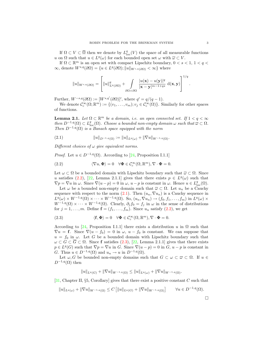If  $\Omega \subset V \subset \overline{\Omega}$  then we denote by  $L^q_{loc}(V)$  the space of all measurable functions u on  $\Omega$  such that  $u \in L^q(\omega)$  for each bounded open set  $\omega$  with  $\overline{\omega} \subset V$ .

If  $\Omega \subset \mathbb{R}^m$  is an open set with compact Lipschitz boundary,  $0 < s < 1, 1 < q <$  $\infty$ , denote  $W^{s,q}(\partial\Omega) = \{u \in L^q(\partial\Omega); ||u||_{W^{s,q}(\partial\Omega)} < \infty\}$  where

$$
||u||_{W^{s,q}(\partial\Omega)} = \left[||u||^q_{L^q(\partial\Omega)} + \int_{\partial\Omega\times\partial\Omega} \frac{|u(\mathbf{x}) - u(\mathbf{y})|^q}{|\mathbf{x} - \mathbf{y}|^{m-1+qs}} d(\mathbf{x}, \mathbf{y})\right]^{1/q}
$$

Further,  $W^{-s,q}(\partial \Omega) := [W^{s,q'}(\partial \Omega)]'$ , where  $q' = q/(q-1)$ .

We denote  $\mathcal{C}_c^{\infty}(\Omega;\mathbb{R}^m) := \{(v_1,\ldots,v_m); v_j \in \mathcal{C}_c^{\infty}(\Omega)\}\.$  Similarly for other spaces of functions.

**Lemma 2.1.** Let  $\Omega \subset \mathbb{R}^m$  be a domain, i.e. an open connected set. If  $1 < q < \infty$ then  $D^{-1,q}(\Omega) \subset L^q_{loc}(\Omega)$ . Choose a bounded non-empty domain  $\omega$  such that  $\overline{\omega} \subset \Omega$ . Then  $D^{-1,q}(\Omega)$  is a Banach space equipped with the norm

(2.1) kukD−1,q(Ω) := kukLq(ω) + k∇uk<sup>W</sup> <sup>−</sup>1,q(Ω).

Different choices of  $\omega$  give equivalent norms.

*Proof.* Let  $u \in D^{-1,q}(\Omega)$ . According to [24, Proposition I.1.1]

(2.2) 
$$
\langle \nabla u, \Phi \rangle = 0 \quad \forall \Phi \in C_c^{\infty}(\Omega, \mathbb{R}^m), \nabla \cdot \Phi = 0.
$$

Let  $\omega \subset \Omega$  be a bounded domain with Lipschitz boundary such that  $\overline{\omega} \subset \Omega$ . Since u satisfies (2.2), [22, Lemma 2.1.1] gives that there exists  $p \in L^{q}(\omega)$  such that  $\nabla p = \nabla u$  in  $\omega$ . Since  $\nabla (u - p) = 0$  in  $\omega$ ,  $u - p$  is constant in  $\omega$ . Hence  $u \in L^q_{loc}(\Omega)$ .

Let  $\omega$  be a bounded non-empty domain such that  $\overline{\omega} \subset \Omega$ . Let  $u_n$  be a Cauchy sequence with respect to the norm  $(2.1)$ . Then  $(u_n, \nabla u_n)$  is a Cauchy sequence in  $L^q(\omega) \times W^{-1,q}(\Omega) \times \cdots \times W^{-1,q}(\Omega)$ . So,  $(u_n, \nabla u_n) \to (f_0, f_1, \ldots, f_m)$  in  $L^q(\omega) \times$  $W^{-1,q}(\Omega) \times \cdots \times W^{-1,q}(\Omega)$ . Clearly,  $\partial_j f_0 = f_j$  in  $\omega$  in the sense of distributions for  $j = 1, \ldots, m$ . Define  $f = (f_1, \ldots, f_m)$ . Since  $u_n$  satisfy  $(2.2)$ , we get

(2.3) 
$$
\langle \mathbf{f}, \mathbf{\Phi} \rangle = 0 \quad \forall \mathbf{\Phi} \in \mathcal{C}_c^{\infty}(\Omega, \mathbb{R}^m), \nabla \cdot \mathbf{\Phi} = 0.
$$

According to [24, Proposition I.1.1] there exists a distribution u in  $\Omega$  such that  $\nabla u = \mathbf{f}$ . Since  $\nabla (u - f_0) = 0$  in  $\omega$ ,  $u - f_0$  is constant. We can suppose that  $u = f_0$  in  $\omega$ . Let G be a bounded domain with Lipschitz boundary such that  $\omega \subset G \subset \overline{G} \subset \Omega$ . Since f satisfies (2.3), [22, Lemma 2.1.1] gives that there exists  $p \in L^q(G)$  such that  $\nabla p = \nabla u$  in G. Since  $\nabla (u - p) = 0$  in G,  $u - p$  is constant in G. Thus  $u \in D^{-1,q}(\Omega)$  and  $u_n \to u$  in  $D^{-1,q}(\Omega)$ .

Let  $\omega, G$  be bounded non-empty domains such that  $G \subset \omega \subset \overline{\omega} \subset \Omega$ . If  $u \in$  $D^{-1,q}(\Omega)$  then

$$
||u||_{L^q(G)} + ||\nabla u||_{W^{-1,q}(\Omega)} \leq ||u||_{L^q(\omega)} + ||\nabla u||_{W^{-1,q}(\Omega)}.
$$

[31, Chapter II, §5, Corollary] gives that there exist a positive constant C such that

$$
||u||_{L^{q}(\omega)} + ||\nabla u||_{W^{-1,q}(\Omega)} \leq C \left[ ||u||_{L^{q}(G)} + ||\nabla u||_{W^{-1,q}(\Omega)} \right] \qquad \forall u \in D^{-1,q}(\Omega).
$$

.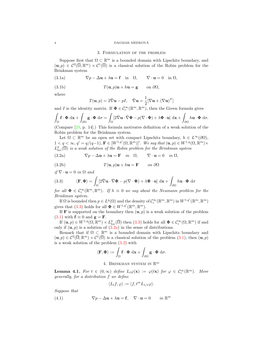#### $$\sf DAGMAR\; MEDKOVA$$

### 3. Formulation of the problem

Suppose first that  $\Omega \subset \mathbb{R}^m$  is a bounded domain with Lipschitz boundary, and  $(u, p) \in C^2(\overline{\Omega}; \mathbb{R}^m) \times C^1(\overline{\Omega})$  is a classical solution of the Robin problem for the Brinkman system

(3.1a) 
$$
\nabla p - \Delta \mathbf{u} + \lambda \mathbf{u} = \mathbf{f} \text{ in } \Omega, \qquad \nabla \cdot \mathbf{u} = 0 \text{ in } \Omega,
$$

(3.1b) 
$$
T(\mathbf{u},p)\mathbf{n}+h\mathbf{u}=\mathbf{g} \qquad \text{on } \partial\Omega,
$$

where

$$
T(\mathbf{u}, p) = 2\hat{\nabla}\mathbf{u} - pI, \quad \hat{\nabla}\mathbf{u} = \frac{1}{2}[\nabla\mathbf{u} + (\nabla\mathbf{u})^T]
$$

and I is the identity matrix. If  $\Phi \in C_c^{\infty}(\mathbb{R}^m, \mathbb{R}^m)$ , then the Green formula gives

$$
\int_{\Omega} \mathbf{f} \cdot \mathbf{\Phi} \, \mathrm{d}\mathbf{x} + \int_{\partial \Omega} \mathbf{g} \cdot \mathbf{\Phi} \, \mathrm{d}\sigma = \int_{\Omega} \left[ 2\hat{\nabla} \mathbf{u} \cdot \hat{\nabla} \mathbf{\Phi} - p(\nabla \cdot \mathbf{\Phi}) + \lambda \mathbf{\Phi} \cdot \mathbf{u} \right] \, \mathrm{d}\mathbf{x} + \int_{\partial \Omega} h \mathbf{u} \cdot \mathbf{\Phi} \, \mathrm{d}\sigma.
$$

(Compare [29, p. 14].) This formula motivates definition of a weak solution of the Robin problem for the Brinkman system.

Let  $\Omega \subset \mathbb{R}^m$  be an open set with compact Lipschitz boundary,  $h \in L^{\infty}(\partial \Omega)$ ,  $1 < q < \infty, q' = q/(q-1), \mathbf{F} \in [W^{1,q'}(\Omega, \mathbb{R}^m)]'.$  We say that  $(\mathbf{u}, p) \in W^{1,q}(\Omega, \mathbb{R}^m) \times$  $L^q_{\text{loc}}(\overline{\Omega})$  is a weak solution of the Robin problem for the Brinkman system

(3.2a) 
$$
\nabla p - \Delta \mathbf{u} + \lambda \mathbf{u} = \mathbf{F} \quad in \quad \Omega, \qquad \nabla \cdot \mathbf{u} = 0 \quad in \quad \Omega,
$$

(3.2b) 
$$
T(\mathbf{u},p)\mathbf{n} + h\mathbf{u} = \mathbf{F} \qquad on \ \partial\Omega
$$

$$
if \nabla \cdot \mathbf{u} = 0 \text{ in } \Omega \text{ and}
$$

(3.3) 
$$
\langle \mathbf{F}, \mathbf{\Phi} \rangle = \int_{\Omega} \left[ 2 \hat{\nabla} \mathbf{u} \cdot \hat{\nabla} \mathbf{\Phi} - p (\nabla \cdot \mathbf{\Phi}) + \lambda \mathbf{\Phi} \cdot \mathbf{u} \right] d\mathbf{x} + \int_{\partial \Omega} h \mathbf{u} \cdot \mathbf{\Phi} d\sigma
$$

for all  $\Phi \in C_c^{\infty}(\mathbb{R}^m, \mathbb{R}^m)$ . If  $h \equiv 0$  we say about the Neumann problem for the Brinkman system.

If  $\Omega$  is bounded then  $p \in L^q(\Omega)$  and the density of  $\mathcal{C}_c^{\infty}(\mathbb{R}^m,\mathbb{R}^m)$  in  $W^{1,q'}(\mathbb{R}^m,\mathbb{R}^m)$ gives that (3.3) holds for all  $\mathbf{\Phi} \in W^{1,q'}(\mathbb{R}^m, \mathbb{R}^m)$ .

If **F** is supported on the boundary then  $(\mathbf{u}, p)$  is a weak solution of the problem (3.1) with  $\mathbf{f} \equiv 0$  and  $\mathbf{g} = \mathbf{F}$ .

If  $(\mathbf{u}, p) \in W^{1,q}(\Omega, \mathbb{R}^m) \times L^q_{\text{loc}}(\overline{\Omega})$  then  $(3.3)$  holds for all  $\Phi \in C_c^{\infty}(\Omega, \mathbb{R}^m)$  if and only if  $(\mathbf{u}, p)$  is a solution of  $(3.2a)$  in the sense of distributions.

Remark that if  $\Omega \subset \mathbb{R}^m$  is a bounded domain with Lipschitz boundary and  $(\mathbf{u}, p) \in C^2(\overline{\Omega}; \mathbb{R}^m) \times C^1(\overline{\Omega})$  is a classical solution of the problem  $(3.1)$ , then  $(\mathbf{u}, p)$ is a weak solution of the problem (3.2) with

$$
\langle \mathbf{F}, \mathbf{\Phi} \rangle := \int_{\Omega} \mathbf{f} \cdot \mathbf{\Phi} \, \mathrm{d} \mathbf{x} + \int_{\partial \Omega} \mathbf{g} \cdot \mathbf{\Phi} \, \mathrm{d} \sigma.
$$

## 4. BRINKMAN SYSTEM IN  $\mathbb{R}^m$

**Lemma 4.1.** For  $t \in (0,\infty)$  define  $L_t\varphi(\mathbf{x}) := \varphi(t\mathbf{x})$  for  $\varphi \in C_c^{\infty}(\mathbb{R}^m)$ . More generally, for a distribution f we define

$$
\langle L_t f, \varphi \rangle := \langle f, t^m L_{1/t} \varphi \rangle.
$$

Suppose that

(4.1) 
$$
\nabla p - \Delta \mathbf{u} + \lambda \mathbf{u} = \mathbf{f}, \quad \nabla \cdot \mathbf{u} = 0 \quad in \mathbb{R}^m
$$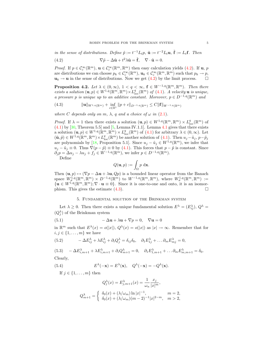in the sense of distributions. Define  $\tilde{p} := t^{-1}L_t p$ ,  $\tilde{\mathbf{u}} := t^{-2}L_t \mathbf{u}$ ,  $\tilde{\mathbf{f}} := L_t \mathbf{f}$ . Then

(4.2) 
$$
\nabla \tilde{p} - \Delta \tilde{\mathbf{u}} + t^2 \lambda \tilde{\mathbf{u}} = \tilde{\mathbf{f}}, \quad \nabla \cdot \tilde{\mathbf{u}} = 0.
$$

*Proof.* If  $p \in C_c^{\infty}(\mathbb{R}^m)$ ,  $\mathbf{u} \in C_c^{\infty}(\mathbb{R}^m, \mathbb{R}^m)$  then easy calculation yields (4.2). If  $\mathbf{u}, p$ are distributions we can choose  $p_k \in C_c^{\infty}(\mathbb{R}^m)$ ,  $\mathbf{u}_k \in C_c^{\infty}(\mathbb{R}^m, \mathbb{R}^m)$  such that  $p_k \to p$ ,  $u_k \rightarrow u$  in the sense of distributions. Now we get  $(4.2)$  by the limit process.

**Proposition 4.2.** Let  $\lambda \in (0, \infty)$ ,  $1 < q < \infty$ ,  $f \in W^{-1,q}(\mathbb{R}^m, \mathbb{R}^m)$ . Then there exists a solution  $(\mathbf{u}, p) \in W^{1,q}(\mathbb{R}^m, \mathbb{R}^m) \times L^q_{loc}(\mathbb{R}^m)$  of (4.1). A velocity  $\mathbf{u}$  is unique, a pressure p is unique up to an additive constant. Moreover,  $p \in D^{-1,q}(\mathbb{R}^m)$  and

(4.3) 
$$
\|\mathbf{u}\|_{W^{1,q}(\mathbb{R}^m)} + \inf_{c \in \mathbb{R}^1} \|p+c\|_{D^{-1,q}(\mathbb{R}^m)} \leq C \|\mathbf{f}\|_{W^{-1,q}(\mathbb{R}^m)}
$$

where C depends only on m,  $\lambda$ , q and a choice of  $\omega$  in (2.1).

*Proof.* If  $\lambda = 1$  then there exists a solution  $(\mathbf{u}, p) \in W^{1,q}(\mathbb{R}^m, \mathbb{R}^m) \times L^q_{loc}(\mathbb{R}^m)$  of  $(4.1)$  by [30, Theorem 5.5] and [5, Lemma IV.1.1]. Lemma 4.1 gives that there exists a solution  $(\mathbf{u}, p) \in W^{1,q}(\mathbb{R}^m, \mathbb{R}^m) \times L^q_{\text{loc}}(\mathbb{R}^m)$  of (4.1) for arbitrary  $\lambda \in (0, \infty)$ . Let  $(\tilde{\mathbf{u}}, \tilde{p}) \in W^{1,q}(\mathbb{R}^m, \mathbb{R}^m) \times L^q_{\text{loc}}(\mathbb{R}^m)$  be another solution of  $(4.1)$ . Then  $u_j - \tilde{u}_j$ ,  $p - \tilde{p}_j$ are polynomials by [18, Proposition 5.1]. Since  $u_j - \tilde{u}_j \in W^{1,q}(\mathbb{R}^m)$ , we infer that  $u_j - \tilde{u}_j \equiv 0$ . Thus  $\nabla (p - \tilde{p}) \equiv 0$  by (4.1). This forces that  $p - \tilde{p}$  is constant. Since  $\partial_j p = \Delta u_j - \lambda u_j + f_j \in W^{-1,q}(\mathbb{R}^m)$ , we infer  $p \in D^{-1,q}(\mathbb{R}^m)$ .

Define

$$
Q(\mathbf{u},p) := \int_{\Omega} p \, \mathrm{d}\mathbf{x}.
$$

Then  $(\mathbf{u}, p) \mapsto (\nabla p - \Delta \mathbf{u} + \lambda \mathbf{u}, Qp)$  is a bounded linear operator from the Banach space  $W^{1,q}_{\sigma}(\mathbb{R}^m, \mathbb{R}^m) \times D^{-1,q}(\mathbb{R}^m)$  to  $W^{-1,q}(\mathbb{R}^m, \mathbb{R}^m)$ , where  $W^{1,q}_{\sigma}(\mathbb{R}^m, \mathbb{R}^m) :=$  ${\bf u} \in W^{1,q}(\mathbb{R}^m, \mathbb{R}^m); \nabla \cdot {\bf u} \equiv 0$ . Since it is one-to-one and onto, it is an isomorphism. This gives the estimate  $(4.3)$ .

## 5. Fundamental solution of the Brinkman system

Let  $\lambda \geq 0$ . Then there exists a unique fundamental solution  $E^{\lambda} = (E^{\lambda}_{ij}), Q^{\lambda} =$  $(Q_j^{\lambda})$  of the Brinkman system

(5.1) 
$$
-\Delta \mathbf{u} + \lambda \mathbf{u} + \nabla p = 0, \quad \nabla \mathbf{u} = 0
$$

in  $\mathbb{R}^m$  such that  $E^{\lambda}(x) = o(|x|)$ ,  $Q^{\lambda}(x) = o(|x|)$  as  $|x| \to \infty$ . Remember that for  $i, j \in \{1, \ldots, m\}$  we have

(5.2) 
$$
-\Delta E_{ij}^{\lambda} + \lambda E_{ij}^{\lambda} + \partial_i Q_j^{\lambda} = \delta_{ij} \delta_0, \quad \partial_1 E_{1j}^{\lambda} + \dots \partial_m E_{mj}^{\lambda} = 0,
$$

(5.3) 
$$
-\Delta E_{i,m+1}^{\lambda} + \lambda E_{i,m+1}^{\lambda} + \partial_i Q_{m+1}^{\lambda} = 0, \quad \partial_1 E_{1,m+1}^{\lambda} + \dots + \partial_m E_{m,m+1}^{\lambda} = \delta_0.
$$
 Clearly,

$$
\qquad \qquad \text{Clearly,}
$$

(5.4) 
$$
E^{\lambda}(-\mathbf{x}) = E^{\lambda}(\mathbf{x}), \quad Q^{\lambda}(-\mathbf{x}) = -Q^{\lambda}(\mathbf{x}).
$$

If  $j \in \{1, \ldots, m\}$  then

$$
Q_j^{\lambda}(x) = E_{j,m+1}^{\lambda}(x) = \frac{1}{\omega_n} \frac{x_j}{|x|^m},
$$
  

$$
Q_{m+1}^{\lambda} = \begin{cases} \delta_0(x) + (\lambda/\omega_m) \ln |x|^{-1}, & m = 2, \\ \delta_0(x) + (\lambda/\omega_m)(m-2)^{-1}|x|^{2-m}, & m > 2, \end{cases}
$$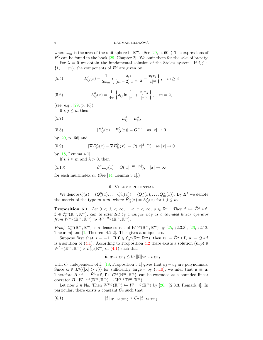where  $\omega_m$  is the area of the unit sphere in  $\mathbb{R}^m$ . (See [29, p. 60].) The expressions of  $E^{\lambda}$  can be found in the book [29, Chapter 2]. We omit them for the sake of brevity.

For  $\lambda = 0$  we obtain the fundamental solution of the Stokes system. If  $i, j \in$  $\{1, \ldots, m\}$ , the components of  $E^0$  are given by

(5.5) 
$$
E_{ij}^0(x) = \frac{1}{2\omega_m} \left\{ \frac{\delta_{ij}}{(m-2)|x|^{m-2}} + \frac{x_i x_j}{|x|^m} \right\}, \quad m \ge 3
$$

(5.6) 
$$
E_{ij}^{0}(x) = \frac{1}{4\pi} \left\{ \delta_{ij} \ln \frac{1}{|x|} + \frac{x_j x_k}{|x|^2} \right\}, \quad m = 2,
$$

(see, e.g.,  $[29, p. 16]$ ).

If  $i, j \leq m$  then

$$
E_{ij}^{\lambda} = E_{ji}^{\lambda},
$$

(5.8) 
$$
|E_{ij}^{\lambda}(x) - E_{ij}^{0}(x)| = O(1) \text{ as } |x| \to 0
$$

by [29, p. 66] and

(5.9) 
$$
|\nabla E_{ij}^{\lambda}(x) - \nabla E_{ij}^{0}(x)| = O(|x|^{2-m}) \text{ as } |x| \to 0
$$

by [18, Lemma 4.1].

If  $i, j \leq m$  and  $\lambda > 0$ , then

(5.10) 
$$
\partial^{\alpha} E_{ij}(x) = O(|x|^{-m-|\alpha|}), \quad |x| \to \infty
$$

for each multiindex  $\alpha$ . (See [14, Lemma 3.1].)

## 6. Volume potential

We denote  $Q(x) = (Q_1^0(x), \ldots, Q_m^0(x)) = (Q_1^{\lambda}(x), \ldots, Q_m^{\lambda}(x))$ . By  $\tilde{E}^{\lambda}$  we denote the matrix of the type  $m \times m$ , where  $\tilde{E}_{ij}^{\lambda}(x) = E_{ij}^{\lambda}(x)$  for  $i, j \leq m$ .

**Proposition 6.1.** Let  $0 < \lambda < \infty$ ,  $1 < q < \infty$ ,  $s \in \mathbb{R}^1$ . Then  $f \mapsto \tilde{E}^{\lambda} * f$ ,  $f \in \mathcal{C}_c^{\infty}(\mathbb{R}^m, \mathbb{R}^m)$ , can be extended by a unique way as a bounded linear operator from  $W^{s,q}(\mathbb{R}^m, \mathbb{R}^m)$  to  $W^{s+2,q}(\mathbb{R}^m, \mathbb{R}^m)$ .

*Proof.*  $C_c^{\infty}(\mathbb{R}^m, \mathbb{R}^m)$  is a dense subset of  $W^{s,q}(\mathbb{R}^m, \mathbb{R}^m)$  by [25, §2.3.3], [26, §2.12, Theorem] and [1, Theorem 4.2.2]. This gives a uniqueness.

Suppose first that  $s = -1$ . If  $f \in C_c^{\infty}(\mathbb{R}^m, \mathbb{R}^m)$ , then  $\mathbf{u} := \tilde{E}^{\lambda} * f$ ,  $p := Q * f$ is a solution of (4.1). According to Proposition 4.2 there exists a solution  $(\tilde{\mathbf{u}}, \tilde{p}) \in$  $W^{1,q}(\mathbb{R}^m, \mathbb{R}^m) \times L_{\text{loc}}^{\hat{q}}(\mathbb{R}^m)$  of  $(4.1)$  such that

$$
\|\tilde{\mathbf{u}}\|_{W^{1,q}(\mathbb{R}^m)} \leq C_1 \|\mathbf{f}\|_{W^{-1,q}(\mathbb{R}^m)}
$$

with  $C_1$  independent of f. [18, Proposition 5.1] gives that  $u_j - \tilde{u}_j$  are polynomials. Since  $u \in L^q({\{|x| > r\}})$  for sufficiently large r by  $(5.10)$ , we infer that  $u \equiv \tilde{u}$ . Therefore  $B: \mathbf{f} \mapsto \tilde{E}^{\lambda} * \mathbf{f}, \mathbf{f} \in C_c^{\infty}(\mathbb{R}^m, \mathbb{R}^m)$ , can be extended as a bounded linear operator  $B: W^{-1,q}(\mathbb{R}^m, \mathbb{R}^m) \to W^{1,q}(\mathbb{R}^m, \mathbb{R}^m)$ .

Let now  $k \in \mathbb{N}_0$ . Then  $W^{k,q}(\mathbb{R}^m) \hookrightarrow W^{-1,q}(\mathbb{R}^m)$  by [26, §2.3.3, Remark 4]. In particular, there exists a constant  $C_2$  such that

(6.1) 
$$
\|\mathbf{f}\|_{W^{-1,q}(\mathbb{R}^m)} \leq C_2 \|\mathbf{f}\|_{L^q(\mathbb{R}^m)}.
$$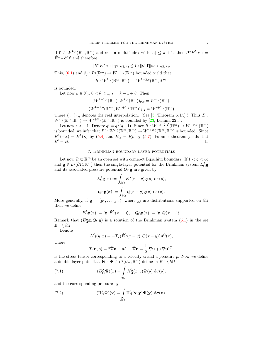If  $f \in W^{k,q}(\mathbb{R}^m, \mathbb{R}^m)$  and  $\alpha$  is a multi-index with  $|\alpha| \leq k+1$ , then  $\partial^{\alpha} \tilde{E}^{\lambda} * f =$  $\tilde{E}^{\lambda} * \partial^{\alpha} \mathbf{f}$  and therefore

$$
\|\partial^{\alpha}\tilde{E}^{\lambda}\ast\mathbf{f}\|_{W^{1,q}(\mathbb{R}^m)}\leq C_1\|\partial^{\alpha}\mathbf{f}\|_{W^{-1,q}(\mathbb{R}^m)}.
$$

This,  $(6.1)$  and  $\partial_j: L^q(\mathbb{R}^m) \to W^{-1,q}(\mathbb{R}^m)$  bounded yield that

 $B:W^{k,q}(\mathbb{R}^m,\mathbb{R}^m)\to W^{k+2,q}(\mathbb{R}^m,\mathbb{R}^m)$ 

is bounded.

Let now  $k \in \mathbb{N}_0$ ,  $0 < \theta < 1$ ,  $s = k - 1 + \theta$ . Then

$$
(W^{k-1,q}(\mathbb{R}^m), W^{k,q}(\mathbb{R}^m))_{\theta,q} = W^{s,q}(\mathbb{R}^m),
$$
  

$$
(W^{k+1,q}(\mathbb{R}^m), W^{k+2,q}(\mathbb{R}^m))_{\theta,q} = W^{s+2,q}(\mathbb{R}^m)
$$

where  $( , )_{\theta,q}$  denotes the real interpolation. (See [3, Theorem 6.4.5].) Thus B:  $W^{s,q}(\mathbb{R}^m, \mathbb{R}^m) \to W^{s+2,q}(\mathbb{R}^m, \mathbb{R}^m)$  is bounded by [23, Lemma 22.3].

Let now  $s < -1$ . Denote  $q' = q/(q-1)$ . Since  $B: W^{-s-2,q'}(\mathbb{R}^m) \to W^{-s,q'}(\mathbb{R}^m)$ is bounded, we infer that  $B': W^{s,q}(\mathbb{R}^m, \mathbb{R}^m) \to W^{s+2,q}(\mathbb{R}^m, \mathbb{R}^m)$  is bounded. Since  $\tilde{E}^{\lambda}(-\mathbf{x}) = \tilde{E}^{\lambda}(\mathbf{x})$  by (5.4) and  $\tilde{E}_{ij} = \tilde{E}_{ji}$  by (5.7), Fubini's theorem yields that  $B'=B.$ 

## 7. Brinkman boundary layer potentials

Let now  $\Omega \subset \mathbb{R}^m$  be an open set with compact Lipschitz boundary. If  $1 < q < \infty$ and  $\mathbf{g} \in L^q(\partial\Omega,\mathbb{R}^m)$  then the single-layer potential for the Brinkman system  $E_{\Omega}^{\lambda} \mathbf{g}$ and its associated pressure potential  $Q_\Omega {\bf g}$  are given by

$$
E_{\Omega}^{\lambda} \mathbf{g}(x) := \int_{\partial \Omega} \tilde{E}^{\lambda}(x - y) \mathbf{g}(y) d\sigma(y),
$$
  

$$
Q_{\Omega} \mathbf{g}(x) := \int_{\partial \Omega} Q(x - y) \mathbf{g}(y) d\sigma(y).
$$

More generally, if  $\mathbf{g} = (g_1, \ldots, g_m)$ , where  $g_j$  are distributions supported on  $\partial \Omega$ then we define

$$
E_{\Omega}^{\lambda} \mathbf{g}(x) := \langle \mathbf{g}, \tilde{E}^{\lambda}(x - \cdot) \rangle, \quad Q_{\Omega} \mathbf{g}(x) := \langle \mathbf{g}, Q(x - \cdot) \rangle.
$$

Remark that  $(E_0 \circ g, Q_0 g)$  is a solution of the Brinkman system  $(5.1)$  in the set  $\mathbb{R}^m \setminus \partial \Omega$ .

Denote

$$
K^{\lambda}_{\Omega}(y,x) = -T_x(\tilde{E}^{\lambda}(x-y), Q(x-y))\mathbf{n}^{\Omega}(x),
$$

where

$$
T(\mathbf{u}, p) = 2\hat{\nabla}\mathbf{u} - pI, \quad \hat{\nabla}\mathbf{u} = \frac{1}{2}[\nabla\mathbf{u} + (\nabla\mathbf{u})^T]
$$

is the stress tensor corresponding to a velocity  $\bf{u}$  and a pressure  $p$ . Now we define a double layer potential. For  $\Psi \in L^q(\partial\Omega,\mathbb{R}^m)$  define in  $\mathbb{R}^m \setminus \partial\Omega$ 

(7.1) 
$$
(D_{\Omega}^{\lambda} \Psi)(x) = \int_{\partial \Omega} K_{\Omega}^{\lambda}(x, y) \Psi(y) d\sigma(y),
$$

and the corresponding pressure by

(7.2) 
$$
(\Pi_{\Omega}^{\lambda} \Psi)(\mathbf{x}) = \int_{\partial \Omega} \Pi_{\Omega}^{\lambda}(\mathbf{x}, \mathbf{y}) \Psi(\mathbf{y}) \, d\sigma(\mathbf{y}).
$$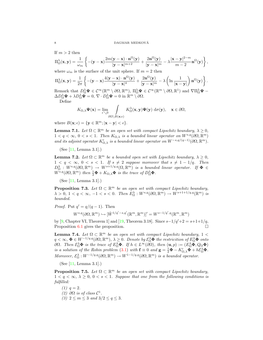If  $m > 2$  then

$$
\Pi_{\Omega}^{\lambda}(\mathbf{x},\mathbf{y})=\frac{1}{\omega_m}\left\{-(\mathbf{y}-\mathbf{x})\frac{2m(\mathbf{y}-\mathbf{x})\cdot\mathbf{n}^{\Omega}(\mathbf{y})}{|\mathbf{y}-\mathbf{x}|^{m+2}}+\frac{2\mathbf{n}^{\Omega}(\mathbf{y})}{|\mathbf{y}-\mathbf{x}|^m}-\lambda\frac{|\mathbf{x}-\mathbf{y}|^{2-m}}{m-2}\mathbf{n}^{\Omega}(\mathbf{y})\right\},
$$

where  $\omega_m$  is the surface of the unit sphere. If  $m = 2$  then

$$
\Pi_{\Omega}^{\lambda}(\mathbf{x}, \mathbf{y}) = \frac{1}{2\pi} \left\{ -(\mathbf{y} - \mathbf{x}) \frac{4(\mathbf{y} - \mathbf{x}) \cdot \mathbf{n}^{\Omega}(\mathbf{y})}{|\mathbf{y} - \mathbf{x}|^{4}} + \frac{2\mathbf{n}^{\Omega}(\mathbf{y})}{|\mathbf{y} - \mathbf{x}|^{m}} - \lambda \left( \ln \frac{1}{|\mathbf{x} - \mathbf{y}|} \right) \mathbf{n}^{\Omega}(\mathbf{y}) \right\}
$$

.

Remark that  $D_{\Omega}^{\lambda} \Psi \in C^{\infty}(\mathbb{R}^m \setminus \partial\Omega, \mathbb{R}^m)$ ,  $\Pi_{\Omega}^{\lambda} \Psi \in C^{\infty}(\mathbb{R}^m \setminus \partial\Omega, \mathbb{R}^1)$  and  $\nabla \Pi_{\Omega}^{\lambda} \Psi \Delta D_\Omega^\lambda \mathbf{\Psi} + \lambda D_\Omega^\lambda \mathbf{\Psi} = 0, \ \nabla \cdot D_\Omega^\lambda \mathbf{\Psi} = 0 \text{ in } \mathbb{R}^m \setminus \partial \Omega.$ 

Define

$$
K_{\Omega,\lambda}\Psi(\mathbf{x}) = \lim_{\epsilon \searrow 0} \int \limits_{\partial \Omega \setminus B(\mathbf{x};\epsilon)} K_{\Omega}^{\lambda}(\mathbf{x},\mathbf{y})\Psi(\mathbf{y}) \, d\sigma(\mathbf{y}), \quad \mathbf{x} \in \partial \Omega,
$$

where  $B(\mathbf{x}; \epsilon) = \{ \mathbf{y} \in \mathbb{R}^m; |\mathbf{x} - \mathbf{y}| < \epsilon \}.$ 

**Lemma 7.1.** Let  $\Omega \subset \mathbb{R}^m$  be an open set with compact Lipschitz boundary,  $\lambda \geq 0$ ,  $1 < q < \infty$ ,  $0 < s < 1$ . Then  $K_{\Omega,\lambda}$  is a bounded linear operator on  $W^{s,q}(\partial\Omega,\mathbb{R}^m)$ and its adjoint operator  $K'_{\Omega, \lambda}$  is a bounded linear operator on  $W^{-s,q/(q-1)}(\partial \Omega, \mathbb{R}^m)$ .

(See [11, Lemma 3.1].)

**Lemma 7.2.** Let  $\Omega \subset \mathbb{R}^m$  be a bounded open set with Lipschitz boundary,  $\lambda \geq 0$ ,  $1 < q < \infty$ ,  $0 < s < 1$ . If  $s \neq 2$  suppose moreover that  $s \neq 1 - 1/q$ . Then  $D_{\Omega}^{\lambda}: W^{s,q}(\partial\Omega,\mathbb{R}^m) \rightarrow W^{s+1/q,q}(\Omega,\mathbb{R}^m)$  is a bounded linear operator. If  $\Phi \in$  $W^{s,q}(\partial\Omega,\mathbb{R}^m)$  then  $\frac{1}{2}\mathbf{\Phi} + K_{\Omega,\lambda}\mathbf{\Phi}$  is the trace of  $D_{\Omega}^{\lambda}\mathbf{\Phi}$ .

(See [11, Lemma 3.1].)

**Proposition 7.3.** Let  $\Omega \subset \mathbb{R}^m$  be an open set with compact Lipschitz boundary,  $\lambda > 0, 1 < q < \infty, -1 < s < 0.$  Then  $E_{\Omega}^{\lambda}: W^{s,q}(\partial \Omega, \mathbb{R}^m) \to W^{s+1+1/q,q}(\mathbb{R}^m)$  is bounded.

*Proof.* Put  $q' = q/(q-1)$ . Then

$$
W^{s,q}(\partial\Omega,\mathbb{R}^m)\hookrightarrow [\mathring{W}^{1/q'-s,q'}(\mathbb{R}^m,\mathbb{R}^m)]'=W^{s-1/q',q}(\mathbb{R}^m,\mathbb{R}^m)
$$

by [9, Chapter VI, Theorem 1] and [19, Theorem 3.18]. Since  $s-1/q'+2 = s+1+1/q$ , Proposition 6.1 gives the proposition.

**Lemma 7.4.** Let  $\Omega \subset \mathbb{R}^m$  be an open set with compact Lipschitz boundary,  $1 <$  $q < \infty, \, \pmb{\Phi} \in W^{-1/q, q}(\partial \Omega, \mathbb{R}^m), \, \lambda \geq 0.$  Denote by  $\mathcal{E}_{\Omega}^{\lambda} \pmb{\Phi}$  the restriction of  $E_{\Omega}^{\lambda} \pmb{\Phi}$  onto  $\partial\Omega$ . Then  $\mathcal{E}_{\Omega}^{\lambda}\mathbf{\Phi}$  is the trace of  $E_{\Omega}^{\lambda}\mathbf{\Phi}$ . If  $h \in L^{\infty}(\partial\Omega)$ , then  $(\mathbf{u}, p) := (E_{\Omega}^{\lambda}\mathbf{\Phi}, Q_{\Omega}\mathbf{\Phi})$ is a solution of the Robin problem (3.1) with  $\mathbf{f} \equiv 0$  and  $\mathbf{g} = \frac{1}{2}\mathbf{\Phi} - K'_{\Omega,\lambda}\mathbf{\Phi} + h\mathcal{E}_{\Omega}^{\lambda}\mathbf{\Phi}$ . Moreover,  $\mathcal{E}_{\Omega}^{\lambda}: W^{-1/q,q}(\partial \Omega, \mathbb{R}^m) \to W^{1-1/q,q}(\partial \Omega, \mathbb{R}^m)$  is a bounded operator.

(See [11, Lemma 3.1].)

**Proposition 7.5.** Let  $\Omega \subset \mathbb{R}^m$  be an open set with compact Lipschitz boundary,  $1 < q < \infty$ ,  $\lambda \geq 0$ ,  $0 < s < 1$ . Suppose that one from the following conditions is fulfilled:

- $(1)$   $q = 2$ .
- (2)  $\partial\Omega$  is of class  $C^1$ .
- (3)  $2 \le m \le 3$  and  $3/2 \le q \le 3$ .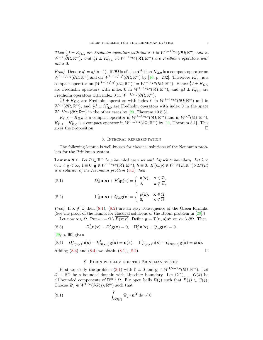Then  $\frac{1}{2}I \pm K_{\Omega,\lambda}$  are Fredholm operators with index 0 in  $W^{1-1/q,q}(\partial\Omega;\mathbb{R}^m)$  and in  $W^{s,2}(\overline{\partial}\Omega;\mathbb{R}^m)$ , and  $\frac{1}{2}I \pm K'_{\Omega,\lambda}$  in  $W^{-1/q,q}(\partial\Omega;\mathbb{R}^m)$  are Fredholm operators with index 0.

*Proof.* Denote  $q' = q/(q-1)$ . If  $\partial\Omega$  is of class  $\mathcal{C}^1$  then  $K_{\Omega,0}$  is a compact operator on  $W^{1-1/q,q}(\partial\Omega;\mathbb{R}^m)$  and on  $W^{1-1/q',q'}(\partial\Omega;\mathbb{R}^m)$  by [16, p. 232]. Therefore  $K'_{\Omega,0}$  is a compact operator on  $[W^{1-1/q', q'}(\partial \Omega; \mathbb{R}^m)]' = W^{-1/q, q}(\partial \Omega; \mathbb{R}^m)$ . Hence  $\frac{1}{2}I \pm K_{\Omega,0}$ are Fredholm operators with index 0 in  $W^{1-1/q,q}(\partial\Omega;\mathbb{R}^m)$ , and  $\frac{1}{2}I \pm K'_{\Omega,0}$  are Fredholm operators with index 0 in  $W^{-1/q,q}(\partial\Omega;\mathbb{R}^m)$ .

 $\frac{1}{2}I \pm K_{\Omega,0}$  are Fredholm operators with index 0 in  $W^{1-1/q,q}(\partial\Omega;\mathbb{R}^m)$  and in  $W^{s,2}(\partial\Omega;\mathbb{R}^m)$ , and  $\frac{1}{2}I \pm K'_{\Omega,0}$  are Fredholm operators with index 0 in the space  $W^{-1/q,q}(\partial\Omega;\mathbb{R}^m)$  in the other cases by [20, Theorem 10.5.3].

 $K_{\Omega,\lambda} - K_{\Omega,0}$  is a compact operator in  $W^{1-1/q,q}(\partial\Omega;\mathbb{R}^m)$  and in  $W^{s,2}(\partial\Omega;\mathbb{R}^m)$ ,  $K'_{\Omega,\lambda} - K'_{\Omega,0}$  is a compact operator in  $W^{-1/q,q}(\partial\Omega;\mathbb{R}^m)$  by [11, Theorem 3.1]. This gives the proposition.

## 8. Integral representation

The following lemma is well known for classical solutions of the Neumann problem for the Brinkman system.

**Lemma 8.1.** Let  $\Omega \subset \mathbb{R}^m$  be a bounded open set with Lipschitz boundary. Let  $\lambda \geq$  $0, 1 < q < \infty$ ,  $\mathbf{f} \equiv 0$ ,  $\mathbf{g} \in W^{-1/q, q}(\partial \Omega; \mathbb{R}^m)$ ,  $h \equiv 0$ . If  $(\mathbf{u}, p) \in W^{1,q}(\Omega, \mathbb{R}^m) \times L^q(\Omega)$ is a solution of the Neumann problem (3.1) then

(8.1) 
$$
D_{\Omega}^{\lambda} \mathbf{u}(\mathbf{x}) + E_{\Omega}^{\lambda} \mathbf{g}(\mathbf{x}) = \begin{cases} \mathbf{u}(\mathbf{x}), & \mathbf{x} \in \Omega, \\ 0, & \mathbf{x} \notin \overline{\Omega}, \end{cases}
$$

(8.2) 
$$
\Pi_{\Omega}^{\lambda} \mathbf{u}(\mathbf{x}) + Q_{\Omega} \mathbf{g}(\mathbf{x}) = \begin{cases} p(\mathbf{x}), & \mathbf{x} \in \Omega, \\ 0, & \mathbf{x} \notin \overline{\Omega}. \end{cases}
$$

*Proof.* If  $\mathbf{x} \notin \overline{\Omega}$  then (8.1), (8.2) are an easy consequence of the Green formula. (See the proof of the lemma for classical solutions of the Robin problem in  $[29]$ .)

Let now  $\mathbf{x} \in \Omega$ . Put  $\omega := \Omega \setminus \overline{B(\mathbf{x};r)}$ . Define  $\mathbf{g} = T(\mathbf{u},p)\mathbf{n}^{\omega}$  on  $\partial \omega \setminus \partial \Omega$ . Then

(8.3) 
$$
D^{\lambda}_{\omega} \mathbf{u}(\mathbf{x}) + E^{\lambda}_{\omega} \mathbf{g}(\mathbf{x}) = 0, \quad \Pi^{\lambda}_{\omega} \mathbf{u}(\mathbf{x}) + Q_{\omega} \mathbf{g}(\mathbf{x}) = 0.
$$

[29, p. 60] gives

(8.4) 
$$
D_{B(\mathbf{x};r)}^{\lambda} \mathbf{u}(\mathbf{x}) - E_{B(\mathbf{x};r)}^{\lambda} \mathbf{g}(\mathbf{x}) = \mathbf{u}(\mathbf{x}), \quad \Pi_{B(\mathbf{x};r)}^{\lambda} \mathbf{u}(\mathbf{x}) - Q_{B(\mathbf{x};r)} \mathbf{g}(\mathbf{x}) = p(\mathbf{x}).
$$
  
Adding (8.3) and (8.4) we obtain (8.1), (8.2).

## 9. Robin problem for the Brinkman system

First we study the problem (3.1) with  $\mathbf{f} \equiv 0$  and  $\mathbf{g} \in W^{1/q-1,q}(\partial \Omega, \mathbb{R}^m)$ . Let  $\Omega \subset \mathbb{R}^m$  be a bounded domain with Lipschitz boundary. Let  $G(1), \ldots, G(k)$  be all bounded components of  $\mathbb{R}^m \setminus \overline{\Omega}$ . Fix open balls  $B(j)$  such that  $\overline{B}(j) \subset G(j)$ . Choose  $\Psi_j \in W^{1,\infty}(\partial G(j), \mathbb{R}^m)$  such that

(9.1) 
$$
\int_{\partial G(j)} \mathbf{\Psi}_j \cdot \mathbf{n}^{\Omega} d\sigma \neq 0.
$$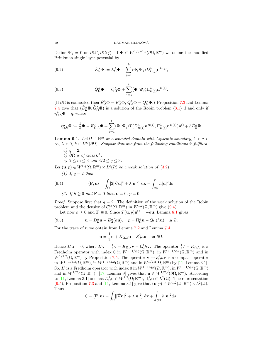Define  $\Psi_j = 0$  on  $\partial \Omega \setminus \partial G(j)$ . If  $\Phi \in W^{1/q-1,q}(\partial \Omega, \mathbb{R}^m)$  we define the modified Brinkman single layer potential by

(9.2) 
$$
\dot{E}_{\Omega}^{\lambda} \mathbf{\Phi} := E_{\Omega}^{\lambda} \mathbf{\Phi} + \sum_{j=1}^{k} \langle \mathbf{\Phi}, \mathbf{\Psi}_j \rangle D_{B(j)}^{\lambda} \mathbf{n}^{B(j)},
$$

(9.3) 
$$
\dot{Q}_{\Omega}^{\lambda} \mathbf{\Phi} := Q_{\Omega}^{\lambda} \mathbf{\Phi} + \sum_{j=1}^{k} \langle \mathbf{\Phi}, \mathbf{\Psi}_j \rangle \Pi_{B(j)}^{\lambda} \mathbf{n}^{B(j)}.
$$

(If  $\partial\Omega$  is connected then  $\hat{E}_{\Omega}^{\lambda}\mathbf{\Phi} = E_{\Omega}^{\lambda}\mathbf{\Phi}, \hat{Q}_{\Omega}^{\lambda}\mathbf{\Phi} = Q_{\Omega}^{\lambda}\mathbf{\Phi}$ .) Proposition 7.3 and Lemma 7.4 give that  $(\hat{E}_{\Omega}^{\lambda} \Phi, \hat{Q}_{\Omega}^{\lambda} \Phi)$  is a solution of the Robin problem (3.1) if and only if  $\tau_{\Omega,h}^{\lambda} \mathbf{\Phi} = \mathbf{g}$  where

$$
\tau_{\Omega,h}^{\lambda} \mathbf{\Phi} := \frac{1}{2} \mathbf{\Phi} - K_{\Omega,\lambda}' \mathbf{\Phi} + \sum_{j=1}^{k} \langle \mathbf{\Phi}, \mathbf{\Psi}_j \rangle T(D_{B(j)}^{\lambda} \mathbf{n}^{B(j)}, \Pi_{B(j)}^{\lambda} \mathbf{n}^{B(j)}) \mathbf{n}^{\Omega} + h \dot{E}_{\Omega}^{\lambda} \mathbf{\Phi}.
$$

**Lemma 9.1.** Let  $\Omega \subset \mathbb{R}^m$  be a bounded domain with Lipschitz boundary,  $1 < q <$  $\infty, \lambda > 0, h \in L^{\infty}(\partial \Omega)$ . Suppose that one from the following conditions is fulfilled:

- a)  $q = 2$ . b)  $\partial\Omega$  is of class  $\mathcal{C}^1$ .
- c)  $2 \leq m \leq 3$  and  $3/2 \leq q \leq 3$ .
- Let  $(\mathbf{u}, p) \in W^{1,q}(\Omega, \mathbb{R}^m) \times L^q(\Omega)$  be a weak solution of  $(3.2)$ .
	- (1) If  $q=2$  then

(9.4) 
$$
\langle \mathbf{F}, \mathbf{u} \rangle = \int_{\Omega} [2|\hat{\nabla} \mathbf{u}|^2 + \lambda |\mathbf{u}|^2] \, d\mathbf{x} + \int_{\partial \Omega} h |\mathbf{u}|^2 d\sigma.
$$

(2) If 
$$
h \ge 0
$$
 and  $\mathbf{F} \equiv 0$  then  $\mathbf{u} \equiv 0$ ,  $p \equiv 0$ .

*Proof.* Suppose first that  $q = 2$ . The definition of the weak solution of the Robin problem and the density of  $C_c^{\infty}(\Omega, \mathbb{R}^m)$  in  $W^{1,2}(\Omega, \mathbb{R}^m)$  give (9.4).

Let now  $h \geq 0$  and  $\mathbf{F} \equiv 0$ . Since  $T(\mathbf{u}, p) \mathbf{n}^{\Omega} = -h\mathbf{u}$ , Lemma 8.1 gives

(9.5) 
$$
\mathbf{u} = D_{\Omega}^{\lambda} \mathbf{u} - E_{\Omega}^{\lambda}(h\mathbf{u}), \quad p = \Pi_{\Omega}^{\lambda} \mathbf{u} - Q_{\Omega}(h\mathbf{u}) \quad \text{in } \Omega.
$$

For the trace of u we obtain from Lemma 7.2 and Lemma 7.4

$$
\mathbf{u} = \frac{1}{2}\mathbf{u} + K_{\Omega,\lambda}\mathbf{u} - \mathcal{E}_{\Omega}^{\lambda}h\mathbf{u} \quad \text{on } \partial\Omega.
$$

Hence  $H\mathbf{u} = 0$ , where  $H\mathbf{v} = \frac{1}{2}\mathbf{v} - K_{\Omega,\lambda}\mathbf{v} + \mathcal{E}_{\Omega}^{\lambda}h\mathbf{v}$ . The operator  $\frac{1}{2}I - K_{\Omega,\lambda}$  is a Fredholm operator with index 0 in  $W^{1-1/q,q}(\Omega,\mathbb{R}^m)$ , in  $W^{1-1/q,2}(\Omega,\mathbb{R}^m)$  and in  $W^{1/2,2}(\Omega,\mathbb{R}^m)$  by Proposition 7.5. The operator  $\mathbf{v} \mapsto \mathcal{E}_{\Omega}^{\lambda} h \mathbf{v}$  is a compact operator in  $W^{1-1/q,q}(\Omega,\mathbb{R}^m)$ , in  $W^{1-1/q,2}(\Omega,\mathbb{R}^m)$  and in  $W^{1/2,2}(\Omega,\mathbb{R}^m)$  by [11, Lemma 3.1]. So, H is a Fredholm operator with index 0 in  $W^{1-1/q,q}(\Omega,\mathbb{R}^m)$ , in  $W^{1-1/q,2}(\Omega,\mathbb{R}^m)$ and in  $W^{1/2,2}(\Omega,\mathbb{R}^m)$ . [17, Lemma 9] gives that  $\mathbf{u} \in W^{1/2,2}(\partial\Omega;\mathbb{R}^m)$ . According to [11, Lemma 3.1] one has  $D_{\Omega}^{\lambda} \mathbf{u} \in W^{1,2}(\Omega;\mathbb{R}^m)$ ,  $\Pi_{\Omega}^{\lambda} \mathbf{u} \in L^2(\Omega)$ . The representation (9.5), Proposition 7.3 and [11, Lemma 3.1] give that  $(\mathbf{u}, p) \in W^{1,2}(\Omega, \mathbb{R}^m) \times L^2(\Omega)$ . Thus

$$
0 = \langle \mathbf{F}, \mathbf{u} \rangle = \int_{\Omega} [|\hat{\nabla} \mathbf{u}|^2 + \lambda |\mathbf{u}|^2] \, d\mathbf{x} + \int_{\partial \Omega} h |\mathbf{u}|^2 d\sigma.
$$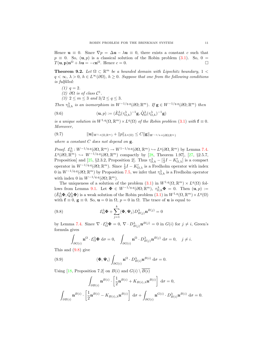Hence  $\mathbf{u} \equiv 0$ . Since  $\nabla p = \Delta \mathbf{u} - \lambda \mathbf{u} \equiv 0$ , there exists a constant c such that  $p \equiv 0$ . So,  $(\mathbf{u}, p)$  is a classical solution of the Robin problem (3.1). So, 0 =  $T(\mathbf{u}, \mathbf{p})\mathbf{n}^{\Omega} + h\mathbf{u} = -c\mathbf{n}^{\Omega}$ . Hence  $c = 0$ .

**Theorem 9.2.** Let  $\Omega \subset \mathbb{R}^m$  be a bounded domain with Lipschitz boundary,  $1 <$  $q < \infty$ ,  $\lambda > 0$ ,  $h \in L^{\infty}(\partial \Omega)$ ,  $h \geq 0$ . Suppose that one from the following conditions is fulfilled:

- $(1)$   $q = 2$ .
- (2)  $\partial\Omega$  is of class  $C^1$ .
- (3)  $2 \le m \le 3$  and  $3/2 \le q \le 3$ .

Then  $\tau_{\Omega,h}^{\lambda}$  is an isomorphism in  $W^{-1/q,q}(\partial\Omega;\mathbb{R}^m)$ . If  $\mathbf{g} \in W^{-1/q,q}(\partial\Omega;\mathbb{R}^m)$  then

(9.6) 
$$
(\mathbf{u},p) := (\dot{E}_{\Omega}^{\lambda}(\tau_{\Omega,h}^{\lambda})^{-1}\mathbf{g}, \dot{Q}_{\Omega}^{\lambda}(\tau_{\Omega,h}^{\lambda})^{-1}\mathbf{g})
$$

is a unique solution in  $W^{1,q}(\Omega,\mathbb{R}^m)\times L^q(\Omega)$  of the Robin problem (3.1) with  $\mathbf{f}\equiv 0$ . Moreover,

(9.7) kukW1,q(Ω,Rm) + kpkLq(Ω) ≤ Ckgk<sup>W</sup> <sup>−</sup>1/q,q(∂Ω;Rm)

where a constant  $C$  does not depend on  $g$ .

Proof.  $\mathcal{E}_{\Omega}^{\lambda}: W^{-1/q,q}(\partial\Omega,\mathbb{R}^m) \to W^{1-1/q,q}(\partial\Omega,\mathbb{R}^m) \hookrightarrow L^q(\partial\Omega,\mathbb{R}^m)$  by Lemma 7.4.  $L^q(\partial\Omega,\mathbb{R}^m) \hookrightarrow W^{-1/q,q}(\partial\Omega,\mathbb{R}^m)$  compactly by [28, Theorem 1.97], [27, §2.5.7, Proposition] and [25, §2.3.2, Proposition 2]. Thus  $\tau_{\Omega,h}^{\lambda} - \left[\frac{1}{2}I - K_{\Omega,\lambda}'\right]$  is a compact operator in  $W^{-1/q,q}(\partial\Omega;\mathbb{R}^m)$ . Since  $\frac{1}{2}I - K'_{\Omega,\lambda}$  is a Fredholm operator with index 0 in  $W^{-1/q,q}(\partial\Omega;\mathbb{R}^m)$  by Proposition 7.5, we infer that  $\tau_{\Omega,h}^{\lambda}$  is a Fredholm operator with index 0 in  $W^{-1/q,q}(\partial\Omega;\mathbb{R}^m)$ .

The uniqueness of a solution of the problem  $(3.1)$  in  $W^{1,q}(\Omega,\mathbb{R}^m) \times L^q(\Omega)$  follows from Lemma 9.1. Let  $\Phi \in W^{-1/q,q}(\partial\Omega;\mathbb{R}^m)$ ,  $\tau^{\lambda}_{\Omega,h}\Phi = 0$ . Then  $(\mathbf{u},p) :=$  $(\dot{E}_{\Omega}^{\lambda} \Phi, \dot{Q}_{\Omega}^{\lambda} \Phi)$  is a weak solution of the Robin problem  $(3.1)$  in  $W^{1,q}(\Omega, \mathbb{R}^m) \times L^q(\Omega)$ with  $f \equiv 0$ ,  $g \equiv 0$ . So,  $u = 0$  in  $\Omega$ ,  $p = 0$  in  $\Omega$ . The trace of u is equal to

(9.8) 
$$
\mathcal{E}_{\Omega}^{\lambda} \mathbf{\Phi} + \sum_{j=1}^{k} \langle \mathbf{\Phi}, \mathbf{\Psi}_j \rangle D_{B(j)}^{\lambda} \mathbf{n}^{B(j)} = 0
$$

by Lemma 7.4. Since  $\nabla \cdot \mathcal{E}_{\Omega}^{\lambda} \mathbf{\Phi} = 0$ ,  $\nabla \cdot D_{B(j)}^{\lambda} \mathbf{n}^{B(j)} = 0$  in  $G(i)$  for  $j \neq i$ , Green's formula gives

$$
\int_{\partial G(i)} \mathbf{n}^{\Omega} \cdot \mathcal{E}_{\Omega}^{\lambda} \mathbf{\Phi} d\sigma = 0, \quad \int_{\partial G(i)} \mathbf{n}^{\Omega} \cdot D_{B(j)}^{\lambda} \mathbf{n}^{B(j)} d\sigma = 0, \quad j \neq i.
$$

This and (9.8) give

(9.9) 
$$
\langle \mathbf{\Phi}, \mathbf{\Psi}_i \rangle \int_{\partial G(i)} \mathbf{n}^{\Omega} \cdot D_{B(i)}^{\lambda} \mathbf{n}^{B(i)} d\sigma = 0.
$$

Using [18, Proposition 7.2] on  $B(i)$  and  $G(i) \setminus \overline{B(i)}$ 

$$
\int_{\partial B(i)} \mathbf{n}^{B(i)} \cdot \left[ \frac{1}{2} \mathbf{n}^{B(i)} + K_{B(i),\lambda} \mathbf{n}^{B(i)} \right] d\sigma = 0,
$$
  

$$
\int_{\partial B(i)} \mathbf{n}^{B(i)} \cdot \left[ \frac{1}{2} \mathbf{n}^{B(i)} - K_{B(i),\lambda} \mathbf{n}^{B(i)} \right] d\sigma + \int_{\partial G(i)} \mathbf{n}^{G(i)} \cdot D_{B(i)}^{\lambda} \mathbf{n}^{B(i)} d\sigma = 0.
$$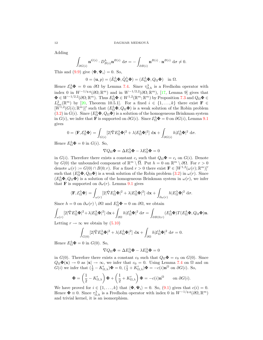Adding

$$
\int_{\partial G(i)} \mathbf{n}^{G(i)} \cdot D_{B(i)}^{\lambda} \mathbf{n}^{B(i)} d\sigma = -\int_{\partial B(i)} \mathbf{n}^{B(i)} \cdot \mathbf{n}^{B(i)} d\sigma \neq 0.
$$

This and (9.9) give  $\langle \mathbf{\Phi}, \mathbf{\Psi}_i \rangle = 0$ . So,

$$
0 = (\mathbf{u}, p) = (\dot{E}_{\Omega}^{\lambda} \mathbf{\Phi}, \dot{Q}_{\Omega}^{\lambda} \mathbf{\Phi}) = (E_{\Omega}^{\lambda} \mathbf{\Phi}, Q_{\Omega} \mathbf{\Phi}) \text{ in } \Omega.
$$

Hence  $\mathcal{E}_{\Omega}^{\lambda} \mathbf{\Phi} = 0$  on  $\partial \Omega$  by Lemma 7.4. Since  $\tau_{\Omega,h}^{\lambda}$  is a Fredholm operator with index 0 in  $W^{-1/q,q}(\partial\Omega;\mathbb{R}^m)$  and in  $W^{-1/2,2}(\partial\Omega;\mathbb{R}^m)$ , [17, Lemma 9] gives that  $\Phi \in W^{-1/2,2}(\partial\Omega;\mathbb{R}^m)$ . Thus  $E_{\Omega}^{\lambda}\Phi \in W^{1,2}(\mathbb{R}^m;\mathbb{R}^m)$  by Proposition 7.3 and  $Q_{\Omega}\Phi \in$  $L^2_{\text{loc}}(\mathbb{R}^m)$  by [20, Theorem 10.5.1]. For a fixed  $i \in \{1,\ldots,k\}$  there exist  $\mathbf{F} \in$  $[W^{1,2}(G(i);\mathbb{R}^m)]'$  such that  $(E_{\Omega}^{\lambda}\Phi, Q_{\Omega}\Phi)$  is a weak solution of the Robin problem (3.2) in  $G(i)$ . Since  $(E_{\Omega}^{\lambda} \Phi, Q_{\Omega} \Phi)$  is a solution of the homogeneous Brinkman system in  $G(i)$ , we infer that **F** is supported on  $\partial G(i)$ . Since  $\mathcal{E}_{\Omega}^{\lambda} \mathbf{\Phi} = 0$  on  $\partial G(i)$ , Lemma 9.1 gives

$$
0 = \langle \mathbf{F}, \mathcal{E}_{\Omega}^{\lambda} \mathbf{\Phi} \rangle = \int_{G(i)} [2|\hat{\nabla} E_{\Omega}^{\lambda} \mathbf{\Phi}|^{2} + \lambda |E_{\Omega}^{\lambda} \mathbf{\Phi}|^{2}] \, \mathrm{d}\mathbf{x} + \int_{\partial G(i)} h | \mathcal{E}_{\Omega}^{\lambda} \mathbf{\Phi}|^{2} \, \mathrm{d}\sigma.
$$

Hence  $E_{\Omega}^{\lambda} \mathbf{\Phi} = 0$  in  $G(i)$ . So,

$$
\nabla Q_{\Omega} \mathbf{\Phi} = \Delta E_{\Omega}^{\lambda} \mathbf{\Phi} - \lambda E_{\Omega}^{\lambda} \mathbf{\Phi} = 0
$$

in  $G(i)$ . Therefore there exists a constant  $c_i$  such that  $Q_{\Omega} \Phi = c_i$  on  $G(i)$ . Denote by  $G(0)$  the unbounded component of  $\mathbb{R}^m \setminus \overline{\Omega}$ . Put  $h = 0$  on  $\mathbb{R}^m \setminus \partial\Omega$ . For  $r > 0$ denote  $\omega(r) := G(0) \cap B(0; r)$ . For a fixed  $r > 0$  there exist  $\mathbf{F} \in [W^{1,2}(\omega(r); \mathbb{R}^m)]'$ such that  $(E_{\Omega}^{\lambda} \Phi, Q_{\Omega} \Phi)$  is a weak solution of the Robin problem  $(3.2)$  in  $\omega(r)$ . Since  $(E_{\Omega}^{\lambda} \Phi, Q_{\Omega} \Phi)$  is a solution of the homogeneous Brinkman system in  $\omega(r)$ , we infer that **F** is supported on  $\partial \omega(r)$ . Lemma 9.1 gives

$$
\langle \mathbf{F}, \mathcal{E}_{\Omega}^{\lambda} \mathbf{\Phi} \rangle = \int_{\omega(r)} [2|\hat{\nabla} E_{\Omega}^{\lambda} \mathbf{\Phi}|^{2} + \lambda |E_{\Omega}^{\lambda} \mathbf{\Phi}|^{2}] \, \mathrm{d}\mathbf{x} + \int_{\partial \omega(r)} h |E_{\Omega}^{\lambda} \mathbf{\Phi}|^{2} \, \mathrm{d}\sigma.
$$

Since  $h = 0$  on  $\partial \omega(r) \setminus \partial \Omega$  and  $E_{\Omega}^{\lambda} \Phi = 0$  on  $\partial \Omega$ , we obtain

$$
\int_{\omega(r)} [2|\hat{\nabla}E_{\Omega}^{\lambda}\Phi|^{2} + \lambda |E_{\Omega}^{\lambda}\Phi|^{2}] d\mathbf{x} + \int_{\partial\Omega} h |E_{\Omega}^{\lambda}\Phi|^{2} d\sigma = \int_{\partial B(0;r)} (E_{\Omega}^{\lambda}\Phi)T(E_{\Omega}^{\lambda}\Phi, Q_{\Omega}\Phi)\mathbf{n}.
$$

Letting  $r \to \infty$  we obtain by (5.10)

$$
\int_{G(0)} [2|\hat{\nabla} E_{\Omega}^{\lambda} \mathbf{\Phi}|^{2} + \lambda |E_{\Omega}^{\lambda} \mathbf{\Phi}|^{2}] d\mathbf{x} + \int_{\partial \Omega} h |E_{\Omega}^{\lambda} \mathbf{\Phi}|^{2} d\sigma = 0.
$$

Hence  $E_{\Omega}^{\lambda} \mathbf{\Phi} = 0$  in  $G(0)$ . So,

$$
\nabla Q_{\Omega} \mathbf{\Phi} = \Delta E_{\Omega}^{\lambda} \mathbf{\Phi} - \lambda E_{\Omega}^{\lambda} \mathbf{\Phi} = 0
$$

in  $G(0)$ . Therefore there exists a constant  $c_0$  such that  $Q_{\Omega} \Phi = c_0$  on  $G(0)$ . Since  $Q_{\Omega}\Phi(\mathbf{x}) \to 0$  as  $|\mathbf{x}| \to \infty$ , we infer that  $c_0 = 0$ . Using Lemma 7.4 on  $\Omega$  and on  $G(i)$  we infer that  $(\frac{1}{2} - K'_{\Omega,\lambda})\Phi = 0$ ,  $(\frac{1}{2} + K'_{\Omega,\lambda})\Phi = -c(i)\mathbf{n}^{\Omega}$  on  $\partial G(i)$ . So,

$$
\mathbf{\Phi} = \left(\frac{1}{2} - K'_{\Omega,\lambda}\right) \mathbf{\Phi} + \left(\frac{1}{2} + K'_{\Omega,\lambda}\right) \mathbf{\Phi} = -c(i) \mathbf{n}^{\Omega} \quad \text{on } \partial G(i).
$$

We have proved for  $i \in \{1, ..., k\}$  that  $\langle \Phi, \Psi_i \rangle = 0$ . So,  $(9.1)$  gives that  $c(i) = 0$ . Hence  $\Phi \equiv 0$ . Since  $\tau_{\Omega,h}^{\lambda}$  is a Fredholm operator with index 0 in  $W^{-1/q,q}(\partial\Omega,\mathbb{R}^m)$ and trivial kernel, it is an isomorphism.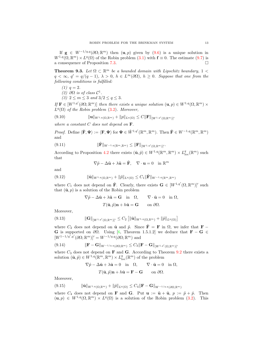If  $g \in W^{-1/q,q}(\partial\Omega;\mathbb{R}^m)$  then  $(u, p)$  given by  $(9.6)$  is a unique solution in  $W^{1,q}(\Omega,\mathbb{R}^m)\times L^q(\Omega)$  of the Robin problem  $(3.1)$  with  $\mathbf{f}\equiv 0$ . The estimate  $(9.7)$  is a consequence of Proposition 7.3.

**Theorem 9.3.** Let  $\Omega \subset \mathbb{R}^m$  be a bounded domain with Lipschitz boundary,  $1 <$  $q < \infty$ ,  $q' = q/(q-1)$ ,  $\lambda > 0$ ,  $h \in L^{\infty}(\partial \Omega)$ ,  $h \geq 0$ . Suppose that one from the following conditions is fulfilled:

- $(1)$   $q = 2$ .
- (2)  $\partial\Omega$  is of class  $\mathcal{C}^1$ .

(3)  $2 \le m \le 3$  and  $3/2 \le q \le 3$ .

If  $\mathbf{F} \in [W^{1,q'}(\partial\Omega;\mathbb{R}^m)]$  then there exists a unique solution  $(\mathbf{u},p) \in W^{1,q}(\Omega,\mathbb{R}^m) \times$  $L^q(\Omega)$  of the Robin problem (3.2). Moreover,

$$
(9.10) \t\t\t ||\mathbf{u}||_{W^{1,q}(\Omega,\mathbb{R}^m)} + ||p||_{L^q(\Omega)} \le C ||\mathbf{F}||_{[W^{1,q'}(\Omega;\mathbb{R}^m)]'}
$$

where a constant  $C$  does not depend on  $\mathbf{F}$ .

*Proof.* Define  $\langle \tilde{\mathbf{F}}, \mathbf{\Psi} \rangle := \langle \mathbf{F}, \mathbf{\Psi} \rangle$  for  $\mathbf{\Psi} \in \mathring{W}^{1,q'}(\mathbb{R}^m, \mathbb{R}^m)$ . Then  $\tilde{\mathbf{F}} \in W^{-1,q}(\mathbb{R}^m, \mathbb{R}^m)$ and

$$
(9.11) \t\t\t ||\widetilde{\mathbf{F}}||_{W^{-1,q}(\mathbb{R}^m,\mathbb{R}^m)} \leq ||\mathbf{F}||_{[W^{1,q'}(\Omega,\mathbb{R}^m)]'}.
$$

According to Proposition 4.2 there exists  $(\tilde{\mathbf{u}}, \tilde{p}) \in W^{1,q}(\mathbb{R}^m, \mathbb{R}^m) \times L^q_{loc}(\mathbb{R}^m)$  such that

$$
\nabla \tilde{p} - \Delta \tilde{\mathbf{u}} + \lambda \tilde{\mathbf{u}} = \tilde{\mathbf{F}}, \quad \nabla \cdot \mathbf{u} = 0 \quad \text{in } \mathbb{R}^m
$$

and

$$
(9.12) \t\t ||\tilde{\mathbf{u}}||_{W^{1,q}(\Omega,\mathbb{R}^m)} + ||\tilde{p}||_{L^q(\Omega)} \leq C_1 ||\tilde{\mathbf{F}}||_{W^{-1,q}(\mathbb{R}^m,\mathbb{R}^m)}
$$

where  $C_1$  does not depend on  $\tilde{\mathbf{F}}$ . Clearly, there exists  $\mathbf{G} \in [W^{1,q'}(\Omega,\mathbb{R}^m)]'$  such that  $(\tilde{\mathbf{u}}, p)$  is a solution of the Robin problem

$$
\nabla \tilde{p} - \Delta \tilde{\mathbf{u}} + \lambda \tilde{\mathbf{u}} = \mathbf{G} \quad \text{in} \quad \Omega, \qquad \nabla \cdot \tilde{\mathbf{u}} = 0 \quad \text{in } \Omega,
$$

$$
T(\tilde{\mathbf{u}}, \tilde{p})\mathbf{n} + h\tilde{\mathbf{u}} = \mathbf{G} \qquad \text{on } \partial \Omega.
$$

Moreover,

$$
(9.13) \t\t ||\mathbf{G}||_{[W^{1,q'}(\Omega,\mathbb{R}^m)]'} \leq C_2 \left[ \|\tilde{\mathbf{u}}\|_{W^{1,q}(\Omega,\mathbb{R}^m)} + \|\tilde{p}\|_{L^q(\Omega)} \right]
$$

where  $C_2$  does not depend on  $\tilde{\mathbf{u}}$  and  $\tilde{p}$ . Since  $\tilde{\mathbf{F}} = \mathbf{F}$  in  $\Omega$ , we infer that  $\mathbf{F}$  − G is supported on  $\partial\Omega$ . Using [6, Theorem 1.5.1.2] we deduce that  $\mathbf{F} - \mathbf{G} \in$  $[W^{1-1/q',q'}(\partial\Omega;\mathbb{R}^m)]' = W^{-1/q,q}(\partial\Omega;\mathbb{R}^m)$  and

$$
(9.14) \t\t\t \|\mathbf{F} - \mathbf{G}\|_{W^{-1/q,q}(\partial\Omega;\mathbb{R}^m)} \leq C_3 \|\mathbf{F} - \mathbf{G}\|_{[W^{1,q'}(\Omega;\mathbb{R}^m)]'}
$$

where  $C_3$  does not depend on **F** and **G**. According to Theorem 9.2 there exists a solution  $(\hat{\mathbf{u}}, \hat{p}) \in W^{1,q}(\mathbb{R}^m, \mathbb{R}^m) \times L^q_{\text{loc}}(\mathbb{R}^m)$  of the problem

$$
\nabla \hat{p} - \Delta \hat{\mathbf{u}} + \lambda \hat{\mathbf{u}} = 0 \quad \text{in} \quad \Omega, \qquad \nabla \cdot \tilde{\mathbf{u}} = 0 \quad \text{in} \ \Omega,
$$

$$
T(\hat{\mathbf{u}}, \hat{p})\mathbf{n} + h\hat{\mathbf{u}} = \mathbf{F} - \mathbf{G} \qquad \text{on } \partial\Omega.
$$

Moreover,

$$
(9.15) \t\t ||\hat{\mathbf{u}}||_{W^{1,q}(\Omega,\mathbb{R}^m)} + ||\hat{p}||_{L^q(\Omega)} \leq C_4 ||\mathbf{F} - \mathbf{G}||_{W^{-1/q,q}(\partial\Omega,\mathbb{R}^m)}
$$

where  $C_4$  does not depend on **F** and **G**. Put  $\mathbf{u} := \tilde{\mathbf{u}} + \hat{\mathbf{u}}$ ,  $p := \tilde{p} + \hat{p}$ . Then  $(\mathbf{u}, p) \in W^{1,q}(\Omega, \mathbb{R}^m) \times L^q(\Omega)$  is a solution of the Robin problem (3.2). This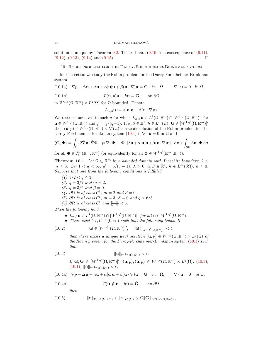solution is unique by Theorem 9.2. The estimate  $(9.10)$  is a consequence of  $(9.11)$ ,  $(9.12), (9.13), (9.14) \text{ and } (9.15).$ 

10. Robin problem for the Darcy-Forchheimer-Brinkman system

In this section we study the Robin problem for the Darcy-Forchheimer-Brinkman system

(10.1a) 
$$
\nabla p - \Delta \mathbf{u} + \lambda \mathbf{u} + \alpha |\mathbf{u}| \mathbf{u} + \beta (\mathbf{u} \cdot \nabla) \mathbf{u} = \mathbf{G}
$$
 in  $\Omega$ ,  $\nabla \cdot \mathbf{u} = 0$  in  $\Omega$ ,

(10.1b) 
$$
T(\mathbf{u},p)\mathbf{n} + h\mathbf{u} = \mathbf{G} \qquad \text{on } \partial\Omega
$$

in  $W^{1,q}(\Omega,\mathbb{R}^m)\times L^q(\Omega)$  for  $\Omega$  bounded. Denote

 $L_{\alpha\beta}$ u :=  $\alpha|$ u $|$ u +  $\beta$ (u ·  $\nabla$ )u.

We restrict ourselves to such q for which  $L_{\alpha,\beta}$ **u**  $\in L^1(\Omega,\mathbb{R}^m) \cap [W^{1,q'}(\Omega,\mathbb{R}^m)]'$  for  $\mathbf{u} \in W^{1,q'}(\Omega,\mathbb{R}^m)$  and  $q' = q/(q-1)$ . If  $\alpha, \beta \in \mathbb{R}^1$ ,  $h \in L^{\infty}(\Omega), \mathbf{G} \in [W^{1,q'}(\Omega,\mathbb{R}^m)]'$ then  $(\mathbf{u}, p) \in W^{1,q}(\Omega, \mathbb{R}^m) \times L^q(\Omega)$  is a weak solution of the Robin problem for the Darcy-Forchheimer-Brinkman system  $(10.1)$  if  $\nabla \cdot \mathbf{u} = 0$  in  $\Omega$  and

$$
\langle \mathbf{G}, \mathbf{\Phi} \rangle = \int_{\Omega} \{ 2\hat{\nabla} \mathbf{u} \cdot \hat{\nabla} \mathbf{\Phi} - p(\nabla \cdot \mathbf{\Phi}) + \mathbf{\Phi} \cdot [\lambda \mathbf{u} + \alpha | \mathbf{u} | \mathbf{u} + \beta (\mathbf{u} \cdot \nabla) \mathbf{u} ] \} \, d\mathbf{x} + \int_{\partial \Omega} h \mathbf{u} \cdot \mathbf{\Phi} \, d\sigma
$$

for all  $\Phi \in C_c^{\infty}(\mathbb{R}^m, \mathbb{R}^m)$  (or equivalently for all  $\Phi \in W^{1,q'}(\mathbb{R}^m, \mathbb{R}^m)$ ).

**Theorem 10.1.** Let  $\Omega \subset \mathbb{R}^m$  be a bounded domain with Lipschitz boundary,  $2 \leq$  $m \leq 3$ . Let  $1 < q < \infty$ ,  $q' = q/(q-1)$ ,  $\lambda > 0$ ,  $\alpha, \beta \in \mathbb{R}^1$ ,  $h \in L^{\infty}(\partial \Omega)$ ,  $h \geq 0$ . Suppose that one from the following conditions is fulfilled:

- (1)  $3/2 < q \leq 3$ .
- (2)  $q = 3/2$  and  $m = 2$ .
- (3)  $q = 3/2$  and  $\beta = 0$ .
- (4)  $\partial\Omega$  is of class  $\mathcal{C}^1$ ,  $m=2$  and  $\beta=0$ .
- (5)  $\partial\Omega$  is of class  $C^1$ ,  $m=3$ ,  $\beta=0$  and  $q>6/5$ .
- (6)  $\partial\Omega$  is of class  $\mathcal{C}^1$  and  $\frac{6-m}{5-m} < q$ .

Then the following hold:

• 
$$
L_{\alpha,\beta}
$$
**u**  $\in L^1(\Omega,\mathbb{R}^m) \cap [W^{1,q'}(\Omega,\mathbb{R}^m)]'$  for all  $\mathbf{u} \in W^{1,q'}(\Omega,\mathbb{R}^m)$ .

• There exist  $\delta, \epsilon, C \in (0, \infty)$  such that the following holds: If

(10.2) 
$$
\mathbf{G} \in [W^{1,q'}(\Omega,\mathbb{R}^m)]', \quad \|\mathbf{G}\|_{[W^{1,q'}(\Omega,\mathbb{R}^m)]'} < \delta,
$$

then there exists a unique weak solution  $(\mathbf{u}, p) \in W^{1,q}(\Omega, \mathbb{R}^m) \times L^q(\Omega)$  of the Robin problem for the Darcy-Forchheimer-Brinkman system (10.1) such that

(10.3) kukW1,q(Ω,Rm) < .

If  $\mathbf{G}, \tilde{\mathbf{G}} \in [W^{1,q'}(\Omega, \mathbb{R}^m)]'$ ,  $(\mathbf{u}, p), (\tilde{\mathbf{u}}, \tilde{p}) \in W^{1,q}(\Omega, \mathbb{R}^m) \times L^q(\Omega)$ , (10.3),  $(10.1), \, \|\tilde{\mathbf{u}}\|_{W^{1,q}(\Omega,\mathbb{R}^m)} < \epsilon,$ 

(10.4a) 
$$
\nabla \tilde{p} - \Delta \tilde{\mathbf{u}} + \lambda \tilde{\mathbf{u}} + \alpha |\tilde{\mathbf{u}}| \tilde{\mathbf{u}} + \beta (\tilde{\mathbf{u}} \cdot \nabla) \tilde{\mathbf{u}} = \tilde{\mathbf{G}} \quad in \quad \Omega, \qquad \nabla \cdot \tilde{\mathbf{u}} = 0 \quad in \quad \Omega,
$$

(10.4b) 
$$
T(\tilde{\mathbf{u}}, \tilde{p})\mathbf{n} + h\tilde{\mathbf{u}} = \tilde{\mathbf{G}} \quad on \ \partial\Omega,
$$

then

$$
(10.5) \t\t\t ||\mathbf{u}||_{W^{1,q}(\Omega,\mathbb{R}^m)} + ||p||_{L^q(\Omega)} \leq C ||\mathbf{G}||_{[W^{1,q'}(\Omega,\mathbb{R}^m)]'},
$$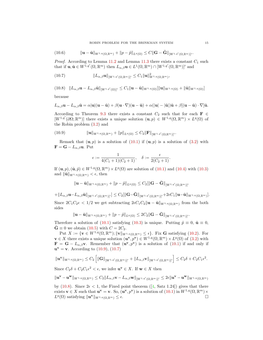$$
(10.6) \t\t ||\mathbf{u}-\tilde{\mathbf{u}}||_{W^{1,q}(\Omega,\mathbb{R}^m)}+||p-\tilde{p}||_{L^q(\Omega)}\leq C||\mathbf{G}-\tilde{\mathbf{G}}||_{[W^{1,q'}(\Omega,\mathbb{R}^m)]'}.
$$

*Proof.* According to Lemma 11.2 and Lemma 11.3 there exists a constant  $C_1$  such that if  $\mathbf{u}, \tilde{\mathbf{u}} \in W^{1,q'}(\Omega, \mathbb{R}^m)$  then  $L_{\alpha,\beta} \mathbf{u} \in L^1(\Omega, \mathbb{R}^m) \cap [W^{1,q'}(\Omega, \mathbb{R}^m)]'$  and

(10.7) 
$$
||L_{\alpha,\beta}\mathbf{u}||_{[W^{1,q'}(\Omega,\mathbb{R}^m)]'} \leq C_1 ||\mathbf{u}||^2_{W^{1,q}(\Omega,\mathbb{R}^m)},
$$

 $(10.8)$   $||L_{\alpha,\beta}\mathbf{u} - L_{\alpha,\beta}\tilde{\mathbf{u}}||_{[W^{1,q'}(\Omega)]'} \leq C_1 ||\mathbf{u} - \tilde{\mathbf{u}}||_{W^{1,q}(\Omega)} [||\mathbf{u}||_{W^{1,q}(\Omega)} + ||\tilde{\mathbf{u}}||_{W^{1,q}(\Omega)} ]$ 

because

$$
L_{\alpha,\beta}\mathbf{u}-L_{\alpha,\beta}\tilde{\mathbf{u}}=\alpha|\mathbf{u}|(\mathbf{u}-\tilde{\mathbf{u}})+\beta(\mathbf{u}\cdot\nabla)(\mathbf{u}-\tilde{\mathbf{u}})+\alpha(|\mathbf{u}|-|\tilde{\mathbf{u}}|)\tilde{\mathbf{u}}+\beta[(\mathbf{u}-\tilde{\mathbf{u}})\cdot\nabla]\tilde{\mathbf{u}}.
$$

According to Theorem 9.3 there exists a constant  $C_2$  such that for each **F**  $\in$  $[W^{1,q'}(\partial\Omega;\mathbb{R}^m)]$  there exists a unique solution  $(\mathbf{u},p) \in W^{1,q}(\Omega,\mathbb{R}^m) \times L^q(\Omega)$  of the Robin problem (3.2) and

(10.9) 
$$
\|\mathbf{u}\|_{W^{1,q}(\Omega,\mathbb{R}^m)} + \|p\|_{L^q(\Omega)} \leq C_2 \|\mathbf{F}\|_{[W^{1,q'}(\Omega,\mathbb{R}^m)]'}.
$$

Remark that  $(\mathbf{u}, p)$  is a solution of  $(10.1)$  if  $(\mathbf{u}, p)$  is a solution of  $(3.2)$  with  $\mathbf{F} = \mathbf{G} - L_{\alpha,\beta} \mathbf{u}$ . Put

$$
\epsilon := \frac{1}{4(C_1 + 1)(C_2 + 1)}, \quad \delta := \frac{\epsilon}{2(C_2 + 1)}.
$$

If  $(\mathbf{u}, p), (\tilde{\mathbf{u}}, \tilde{p}) \in W^{1,q}(\Omega, \mathbb{R}^m) \times L^q(\Omega)$  are solution of  $(10.1)$  and  $(10.4)$  with  $(10.3)$ and  $\|\tilde{\mathbf{u}}\|_{W^{1,q}(\Omega,\mathbb{R}^m)} < \epsilon$ , then

$$
\|\mathbf{u}-\tilde{\mathbf{u}}\|_{W^{1,q}(\Omega,\mathbb{R}^m)}+\|p-\tilde{p}\|_{L^q(\Omega)}\leq C_2[\|\mathbf{G}-\tilde{\mathbf{G}}\|_{[W^{1,q'}(\Omega,\mathbb{R}^m)]'}
$$

 $+\|L_{\alpha,\beta}{\bf u}-L_{\alpha,\beta}\tilde{{\bf u}}\|_{[W^{1,q'}(\Omega,\mathbb{R}^m)]'}\leq C_2[\|{\bf G}-\tilde{{\bf G}}\|_{[W^{1,q'}(\Omega,\mathbb{R}^m)]'}+2\epsilon C_1\|{\bf u}-\tilde{{\bf u}}\|_{W^{1,q}(\Omega,\mathbb{R}^m)}].$ Since  $2C_1C_2\epsilon < 1/2$  we get subtracting  $2\epsilon C_1C_2\|\mathbf{u}-\tilde{\mathbf{u}}\|_{W^{1,q}(\Omega,\mathbb{R}^m)}$  from the both sides

$$
\|\mathbf{u}-\tilde{\mathbf{u}}\|_{W^{1,q}(\Omega,\mathbb{R}^m)}+\|p-\tilde{p}\|_{L^q(\Omega)}\leq 2C_2\|\mathbf{G}-\tilde{\mathbf{G}}\|_{[W^{1,q'}(\Omega,\mathbb{R}^m)]'}.
$$

Therefore a solution of (10.1) satisfying (10.3) is unique. Putting  $\tilde{p} \equiv 0$ ,  $\tilde{u} \equiv 0$ ,  $\mathbf{G} \equiv 0$  we obtain (10.5) with  $C = 2C_2$ .

Put  $X := \{ \mathbf{v} \in W^{1,q}(\Omega,\mathbb{R}^m); \|\mathbf{v}\|_{W^{1,q}(\Omega,\mathbb{R}^m)} \leq \epsilon \}.$  Fix G satisfying (10.2). For  $\mathbf{v} \in X$  there exists a unique solution  $(\mathbf{u}^{\mathbf{v}}, p^{\mathbf{v}}) \in W^{1,q}(\Omega, \mathbb{R}^m) \times L^q(\Omega)$  of  $(3.2)$  with  $\mathbf{F} = \mathbf{G} - L_{\alpha,\beta} \mathbf{v}$ . Remember that  $(\mathbf{u}^{\mathbf{v}}, p^{\mathbf{v}})$  is a solution of  $(10.1)$  if and only if  $u^{\bf v} = {\bf v}$ . According to (10.9), (10.7)

$$
\|\mathbf{u}^{\mathbf{v}}\|_{W^{1,q}(\Omega,\mathbb{R}^m)} \leq C_2 \left[ \|\mathbf{G}\|_{[W^{1,q'}(\Omega,\mathbb{R}^m)]'} + \|L_{\alpha,\beta}\mathbf{v}\|_{[W^{1,q'}(\Omega,\mathbb{R}^m)]'} \right] \leq C_2 \delta + C_2 C_1 \epsilon^2.
$$

Since  $C_2 \delta + C_2 C_1 \epsilon^2 < \epsilon$ , we infer  $\mathbf{u}^{\mathbf{v}} \in X$ . If  $\mathbf{w} \in X$  then

$$
\|\mathbf{u}^{\mathbf{v}}-\mathbf{u}^{\mathbf{w}}\|_{W^{1,q}(\Omega,\mathbb{R}^m)} \leq C_2\|L_{\alpha,\beta}\mathbf{v}-L_{\alpha,\beta}\mathbf{w}\|_{[W^{1,q'}(\Omega,\mathbb{R}^m)]'}\leq 2\epsilon\|\mathbf{u}^{\mathbf{v}}-\mathbf{u}^{\mathbf{w}}\|_{W^{1,q}(\Omega,\mathbb{R}^m)}
$$

by (10.8). Since  $2\epsilon < 1$ , the Fixed point theorem ([4, Satz 1.24]) gives that there exists  $\mathbf{v} \in X$  such that  $\mathbf{u}^{\mathbf{v}} = \mathbf{v}$ . So,  $(\mathbf{u}^{\mathbf{v}}, p^{\mathbf{v}})$  is a solution of  $(10.1)$  in  $W^{1,q}(\Omega, \mathbb{R}^m) \times$  $L^q(\Omega)$  satisfying  $\|\mathbf{u}^{\mathbf{v}}\|_{W^{1,q}(\Omega,\mathbb{R}^m)} \leq \epsilon.$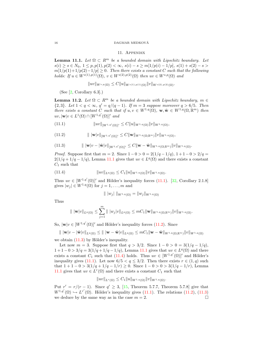#### $\begin{array}{lll} \text{DAGMAR MEDKOVA} \end{array}$

## 11. Appendix

**Lemma 11.1.** Let  $\Omega \subset \mathbb{R}^m$  be a bounded domain with Lipschitz boundary. Let  $s(i) \geq s \in N_0, 1 \leq p, p(1), p(2) < \infty, s(i) - s \geq m[1/p(i) - 1/p], s(1) + s(2) - s >$  $m[1/p(1)+1/p(2)-1/p] \geq 0$ . Then there exists a constant C such that the following holds: If  $u \in W^{s(1),p(1)}(\Omega)$ ,  $v \in W^{s(2),p(2)}(\Omega)$  then  $uv \in W^{s,p}(\Omega)$  and

 $\|uv\|_{W^{s,p}(\Omega)} \leq C \|u\|_{W^{s(1),p(1)}(\Omega)} \|v\|_{W^{s(2),p(2)}(\Omega)}.$ 

(See  $[2, Corollary 6.3]$ .)

**Lemma 11.2.** Let  $\Omega \subset \mathbb{R}^m$  be a bounded domain with Lipschitz boundary,  $m \in \mathbb{R}^m$  ${2, 3}$ . Let  $1 < q < \infty$ ,  $q' = q/(q - 1)$ . If  $m = 3$  suppose moreover  $q > 6/5$ . Then there exists a constant C such that if  $u, v \in W^{1,q}(\Omega)$ ,  $\mathbf{w}, \tilde{\mathbf{w}} \in W^{1,q}(\Omega, \mathbb{R}^m)$  then  $uv, |\mathbf{w}|v \in L^1(\Omega) \cap [W^{1,q'}(\Omega)]'$  and

(11.1)  $\|uv\|_{[W^{1,q'}(\Omega)]'} \leq C \|u\|_{W^{1,q}(\Omega)} \|v\|_{W^{1,q}(\Omega)},$ 

$$
(11.2) \t\t ||\mathbf{w}|v||_{[W^{1,q'}(\Omega)]'} \leq C \|\mathbf{w}\|_{W^{1,q}(\Omega;\mathbb{R}^m)} \|v\|_{W^{1,q}(\Omega)},
$$

$$
(11.3) \t\t ||\mathbf{w}|v - |\tilde{\mathbf{w}}|v||_{[W^{1,q'}(\Omega)]'} \leq C \|\mathbf{w} - \tilde{\mathbf{w}}\|_{W^{1,q}(\Omega;\mathbb{R}^m)} \|v\|_{W^{1,q}(\Omega)}.
$$

*Proof.* Suppose first that  $m = 2$ . Since  $1 - 0 > 0 = 2(1/q - 1/q)$ ,  $1 + 1 - 0 > 2/q =$  $2(1/q + 1/q - 1/q)$ , Lemma 11.1 gives that  $uv \in L<sup>q</sup>(\Omega)$  and there exists a constant  $C_1$  such that

(11.4) 
$$
||uv||_{L^q(\Omega)} \leq C_1 ||u||_{W^{1,q}(\Omega)} ||v||_{W^{1,q}(\Omega)}.
$$

Thus  $uv \in [W^{1,q'}(\Omega)]'$  and Hölder's inequality forces (11.1). [32, Corollary 2.1.8] gives  $|w_i| \in W^{1,q}(\Omega)$  for  $j = 1, \ldots, m$  and

$$
\| |w_j| \|_{W^{1,q}(\Omega)} = \|w_j\|_{W^{1,q}(\Omega)}
$$

Thus

$$
\| \, \| \mathbf{w} |v \|_{L^q(\Omega)} \leq \sum_{j=1}^m \| \, |w_j| v \|_{L^q(\Omega)} \leq m C_1 \| \mathbf{w} \|_{W^{1,q}(\Omega; \mathbb{R}^m)} \| v \|_{W^{1,q}(\Omega)}.
$$

So,  $|\mathbf{w}|v \in [W^{1,q'}(\Omega)]'$  and Hölder's inequality forces (11.2). Since

 $\| \|\mathbf{w}[v - \tilde{\mathbf{w}}]v\|_{L^q(\Omega)} \leq \| \|\mathbf{w}-\tilde{\mathbf{w}}[v]\|_{L^q(\Omega)} \leq mC_1 \|\mathbf{w}-\tilde{\mathbf{w}}\|_{W^{1,q}(\Omega;\mathbb{R}^m)} \|v\|_{W^{1,q}(\Omega)}$ 

we obtain  $(11.3)$  by Hölder's inequality.

Let now  $m = 3$ . Suppose first that  $q > 3/2$ . Since  $1 - 0 > 0 = 3(1/q - 1/q)$ ,  $1+1-0 > 3/q = 3(1/q + 1/q - 1/q)$ , Lemma 11.1 gives that  $uv \in L<sup>q</sup>(\Omega)$  and there exists a constant  $C_1$  such that (11.4) holds. Thus  $uv \in [W^{1,q'}(\Omega)]'$  and Hölder's inequality gives (11.1). Let now  $6/5 < q \leq 3/2$ . Then there exists  $r \in (1,q)$  such that  $1+1-0 > 3(1/q+1/q-1/r) \ge 0$ . Since  $1-0 > 0 > 3(1/q-1/r)$ , Lemma 11.1 gives that  $uv \in L^r(\Omega)$  and there exists a constant  $C_1$  such that

$$
||uv||_{L^r(\Omega)} \leq C_1 ||u||_{W^{1,q}(\Omega)} ||v||_{W^{1,q}(\Omega)}.
$$

Put  $r' = r/(r - 1)$ . Since  $q' \geq 3$ , [15, Theorem 5.7.7, Theorem 5.7.8] give that  $W^{1,q'}(\Omega) \hookrightarrow L^{r'}(\Omega)$ . Hölder's inequality gives (11.1). The relations (11.2), (11.3) we deduce by the same way as in the case  $m = 2$ .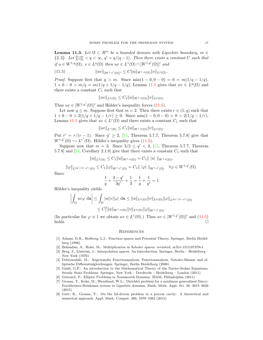**Lemma 11.3.** Let  $\Omega \subset \mathbb{R}^m$  be a bounded domain with Lipschitz boundary,  $m \in \mathbb{R}^m$  ${2, 3}$ . Let  $\frac{6-m}{5-m} < q < \infty$ ,  $q' = q/(q-1)$ . Then there exists a constant C such that if  $u \in W^{1,q}(\Omega)$ ,  $v \in L^q(\Omega)$  then  $uv \in L^1(\Omega) \cap [W^{1,q'}(\Omega)]'$  and

(11.5) 
$$
||uv||_{[W^{1,q'}(\Omega)]'} \leq C||u||_{W^{1,q}(\Omega)}||v||_{L^q(\Omega)}.
$$

*Proof.* Suppose first that  $q > m$ . Since min $(1 - 0, 0 - 0) = 0 = m(1/q - 1/q)$ ,  $1 + 0 - 0 > m/q = m(1/q + 1/q - 1/q)$ , Lemma 11.1 gives that  $uv \in L<sup>q</sup>(\Omega)$  and there exists a constant  $C_1$  such that

$$
||uv||_{L^{q}(\Omega)} \leq C_1 ||u||_{W^{1,q}(\Omega)} ||v||_{L^{q}(\Omega)}.
$$

Thus  $uv \in [W^{1,q'}(\Omega)]'$  and Hölder's inequality forces (11.5).

Let now  $q \leq m$ . Suppose first that  $m = 2$ . Then there exists  $r \in (1, q)$  such that  $1 + 0 - 0 > 2(1/q + 1/q - 1/r) \ge 0$ . Since min $(1 - 0, 0 - 0) = 0 > 2(1/q - 1/r)$ , Lemma 11.1 gives that  $uv \in L^r(\Omega)$  and there exists a constant  $C_1$  such that

 $\|uv\|_{L^r(\Omega)} \leq C_1 \|u\|_{W^{1,q}(\Omega)} \|v\|_{L^q(\Omega)}.$ 

Put  $r' = r/(r - 1)$ . Since  $q' \geq 2$ , [15, Theorem 5.7.7, Theorem 5.7.8] give that  $W^{1,q'}(\Omega) \hookrightarrow L^{r'}(\Omega)$ . Hölder's inequality gives (11.5).

Suppose now that  $m = 3$ . Since  $3/2 \le q' < 3$ , [15, Theorem 5.7.7, Theorem 5.7.8] and  $[32,$  Corollary 2.1.8] give that there exists a constant  $C_1$  such that

$$
||u||_{L^{3}(\Omega)} \leq C_1 ||u||_{W^{1,q}(\Omega)} = C_1 |||u||_{W^{1,q}(\Omega)},
$$

$$
\|\varphi\|_{L^{3q'/(3-q')}(\Omega)} \leq C_1 \|\varphi\|_{W^{1,q'}(\Omega)} = C_1 \|\|\varphi\|\|_{W^{1,q'}(\Omega)} \quad \forall \varphi \in W^{1,q'}(\Omega).
$$

Since

$$
\frac{1}{q} + \frac{3 - q'}{3q'} + \frac{1}{3} = \frac{1}{q} + \frac{1}{q'} = 1
$$

Hölder's inequality yields

$$
\left| \int_{\Omega} uv \varphi \, \mathrm{d}\mathbf{x} \right| \leq \int_{\Omega} |u| |v| |\varphi| \, \mathrm{d}\mathbf{x} \leq \|u\|_{L^{3}(\Omega)} \|v\|_{L^{q}(\Omega)} \|\varphi\|_{L^{3q'/(3-q')}(\Omega)}
$$
  

$$
\leq C_{1}^{2} \|u\|_{W^{1,q}(\Omega)} \|v\|_{L^{q}(\Omega)} \|\varphi\|_{W^{1,q'}(\Omega)}.
$$

(In particular for  $\varphi \equiv 1$  we obtain  $uv \in L^1(\Omega)$ .) Thus  $uv \in [W^{1,q'}(\Omega)]'$  and (11.5)  $holds.$ 

## **REFERENCES**

- [1] Adams, D.R., Hedberg, L.I.: Function spaces and Potential Theory. Springer, Berlin Heidelberg (1996)
- [2] Behzadan, A., Holst, M.: Multiplication in Sobolev spaces. revisited, arXiv:1512.07379v1
- [3] Berg, J., Löström, J.: Interpolation spaces. An Introduction. Springer, Berlin Heidelberg New York (1976)
- [4] Dobrowolski, M.: Angewandte Functionanalysis. Functionanalysis, Sobolev-Räume und elliptische Differentialgleichungen. Springer, Berlin Heidelberg (2006)
- [5] Galdi, G.P.: An introduction to the Mathematical Theory of the Navier-Stokes Equations, Steady State Problems. Springer, New York – Dordrecht – Heidelberg – London (2011)
- [6] Grisvard, P.: Elliptic Problems in Nonsmooth Domains. SIAM, Philadelphia (2011)
- [7] Grosan, T., Kohr, M., Wendland, W.L.: Dirichlet problem for a nonlinear generalized Darcy-Forchheimer-Brinkman system in Lipschitz domains. Math. Meth. Appl. Sci. 38, 3615–3628 (2015)
- [8] Gutt, R., Grosan, T.: On the lid-driven problem in a porous cavity: A theoretical and numerical approach. Appl. Math. Comput. 266, 1070–1082 (2015)